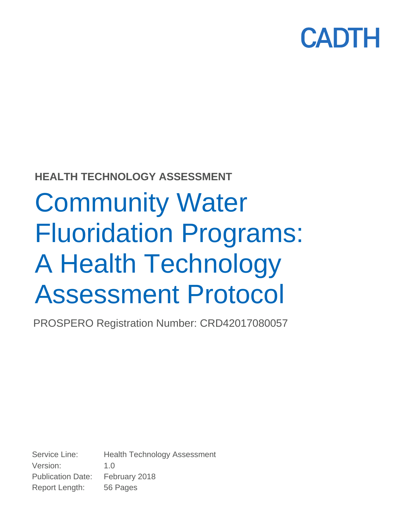

### **HEALTH TECHNOLOGY ASSESSMENT**

# Community Water Fluoridation Programs: A Health Technology Assessment Protocol

PROSPERO Registration Number: CRD42017080057

Service Line: Health Technology Assessment Version: 1.0 Publication Date: February 2018 Report Length: 56 Pages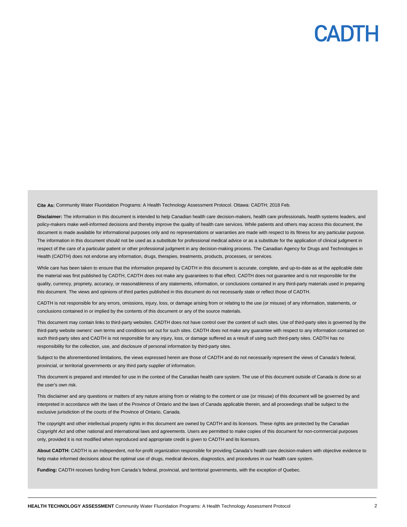**Cite As:** Community Water Fluoridation Programs: A Health Technology Assessment Protocol. Ottawa: CADTH; 2018 Feb.

**Disclaimer:** The information in this document is intended to help Canadian health care decision-makers, health care professionals, health systems leaders, and policy-makers make well-informed decisions and thereby improve the quality of health care services. While patients and others may access this document, the document is made available for informational purposes only and no representations or warranties are made with respect to its fitness for any particular purpose. The information in this document should not be used as a substitute for professional medical advice or as a substitute for the application of clinical judgment in respect of the care of a particular patient or other professional judgment in any decision-making process. The Canadian Agency for Drugs and Technologies in Health (CADTH) does not endorse any information, drugs, therapies, treatments, products, processes, or services.

While care has been taken to ensure that the information prepared by CADTH in this document is accurate, complete, and up-to-date as at the applicable date the material was first published by CADTH, CADTH does not make any guarantees to that effect. CADTH does not guarantee and is not responsible for the quality, currency, propriety, accuracy, or reasonableness of any statements, information, or conclusions contained in any third-party materials used in preparing this document. The views and opinions of third parties published in this document do not necessarily state or reflect those of CADTH.

CADTH is not responsible for any errors, omissions, injury, loss, or damage arising from or relating to the use (or misuse) of any information, statements, or conclusions contained in or implied by the contents of this document or any of the source materials.

This document may contain links to third-party websites. CADTH does not have control over the content of such sites. Use of third-party sites is governed by the third-party website owners' own terms and conditions set out for such sites. CADTH does not make any guarantee with respect to any information contained on such third-party sites and CADTH is not responsible for any injury, loss, or damage suffered as a result of using such third-party sites. CADTH has no responsibility for the collection, use, and disclosure of personal information by third-party sites.

Subject to the aforementioned limitations, the views expressed herein are those of CADTH and do not necessarily represent the views of Canada's federal, provincial, or territorial governments or any third party supplier of information.

This document is prepared and intended for use in the context of the Canadian health care system. The use of this document outside of Canada is done so at the user's own risk.

This disclaimer and any questions or matters of any nature arising from or relating to the content or use (or misuse) of this document will be governed by and interpreted in accordance with the laws of the Province of Ontario and the laws of Canada applicable therein, and all proceedings shall be subject to the exclusive jurisdiction of the courts of the Province of Ontario, Canada.

The copyright and other intellectual property rights in this document are owned by CADTH and its licensors. These rights are protected by the Canadian *Copyright Act* and other national and international laws and agreements. Users are permitted to make copies of this document for non-commercial purposes only, provided it is not modified when reproduced and appropriate credit is given to CADTH and its licensors.

**About CADTH:** CADTH is an independent, not-for-profit organization responsible for providing Canada's health care decision-makers with objective evidence to help make informed decisions about the optimal use of drugs, medical devices, diagnostics, and procedures in our health care system.

**Funding:** CADTH receives funding from Canada's federal, provincial, and territorial governments, with the exception of Quebec.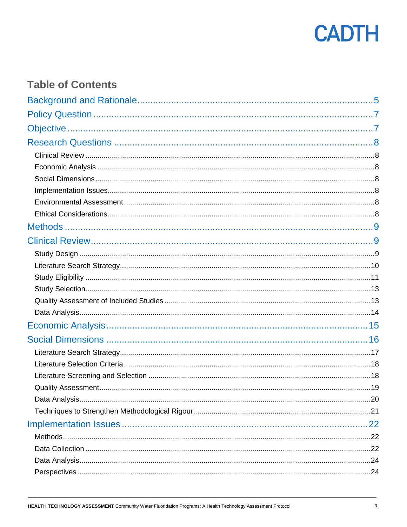

### **Table of Contents**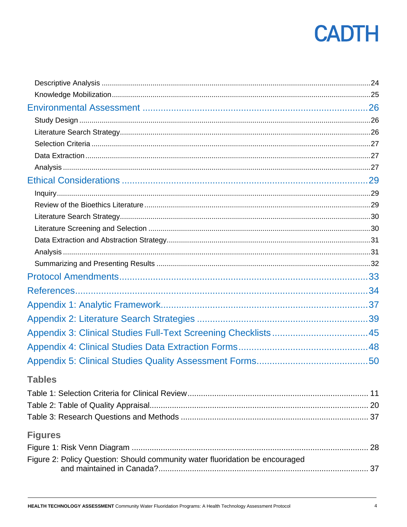| <b>Tables</b>                                                                |    |
|------------------------------------------------------------------------------|----|
|                                                                              |    |
|                                                                              |    |
|                                                                              |    |
| <b>Figures</b>                                                               |    |
|                                                                              |    |
| Figure 2: Policy Question: Should community water fluoridation be encouraged |    |
|                                                                              | 37 |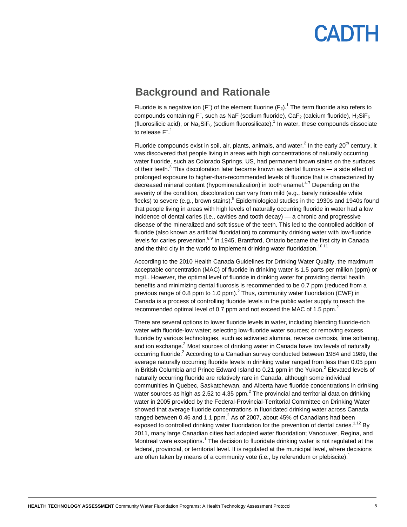### <span id="page-4-0"></span>**Background and Rationale**

Fluoride is a negative ion (F<sup>-</sup>) of the element fluorine (F<sub>2</sub>).<sup>1</sup> The term fluoride also refers to compounds containing F<sup>−</sup>, such as NaF (sodium fluoride), CaF<sub>2</sub> (calcium fluoride), H<sub>2</sub>SiF<sub>6</sub> (fluorosilicic acid), or  $\text{Na}_2\text{SiF}_6$  (sodium fluorosilicate).<sup>1</sup> In water, these compounds dissociate to release F<sup>-1</sup>

Fluoride compounds exist in soil, air, plants, animals, and water.<sup>2</sup> In the early 20<sup>th</sup> century, it was discovered that people living in areas with high concentrations of naturally occurring water fluoride, such as Colorado Springs, US, had permanent brown stains on the surfaces of their teeth.<sup>3</sup> This discoloration later became known as dental fluorosis — a side effect of prolonged exposure to higher-than-recommended levels of fluoride that is characterized by decreased mineral content (hypomineralization) in tooth enamel.<sup>4-7</sup> Depending on the severity of the condition, discoloration can vary from mild (e.g., barely noticeable white flecks) to severe (e.g., brown stains).<sup>5</sup> Epidemiological studies in the 1930s and 1940s found that people living in areas with high levels of naturally occurring fluoride in water had a low incidence of dental caries (i.e., cavities and tooth decay) — a chronic and progressive disease of the mineralized and soft tissue of the teeth. This led to the controlled addition of fluoride (also known as artificial fluoridation) to community drinking water with low-fluoride levels for caries prevention.<sup>8,9</sup> In 1945, Brantford, Ontario became the first city in Canada and the third city in the world to implement drinking water fluoridation.<sup>10,11</sup>

According to the 2010 Health Canada Guidelines for Drinking Water Quality, the maximum acceptable concentration (MAC) of fluoride in drinking water is 1.5 parts per million (ppm) or mg/L. However, the optimal level of fluoride in drinking water for providing dental health benefits and minimizing dental fluorosis is recommended to be 0.7 ppm (reduced from a previous range of 0.8 ppm to 1.0 ppm). $<sup>2</sup>$  Thus, community water fluoridation (CWF) in</sup> Canada is a process of controlling fluoride levels in the public water supply to reach the recommended optimal level of 0.7 ppm and not exceed the MAC of 1.5 ppm.<sup>2</sup>

There are several options to lower fluoride levels in water, including blending fluoride-rich water with fluoride-low water; selecting low-fluoride water sources; or removing excess fluoride by various technologies, such as activated alumina, reverse osmosis, lime softening, and ion exchange.<sup>2</sup> Most sources of drinking water in Canada have low levels of naturally occurring fluoride.<sup>2</sup> According to a Canadian survey conducted between 1984 and 1989, the average naturally occurring fluoride levels in drinking water ranged from less than 0.05 ppm in British Columbia and Prince Edward Island to 0.21 ppm in the Yukon.<sup>2</sup> Elevated levels of naturally occurring fluoride are relatively rare in Canada, although some individual communities in Quebec, Saskatchewan, and Alberta have fluoride concentrations in drinking water sources as high as 2.52 to 4.35  $ppm.<sup>2</sup>$  The provincial and territorial data on drinking water in 2005 provided by the Federal-Provincial-Territorial Committee on Drinking Water showed that average fluoride concentrations in fluoridated drinking water across Canada ranged between 0.46 and 1.1 ppm. $^2$  As of 2007, about 45% of Canadians had been exposed to controlled drinking water fluoridation for the prevention of dental caries.<sup>1,12</sup> By 2011, many large Canadian cities had adopted water fluoridation; Vancouver, Regina, and Montreal were exceptions.<sup>1</sup> The decision to fluoridate drinking water is not regulated at the federal, provincial, or territorial level. It is regulated at the municipal level, where decisions are often taken by means of a community vote (i.e., by referendum or plebiscite).<sup>1</sup>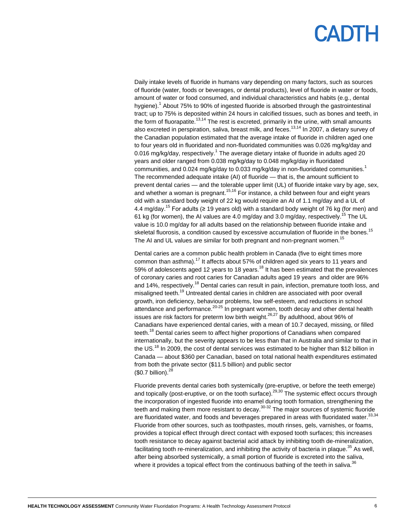# PADTH

Daily intake levels of fluoride in humans vary depending on many factors, such as sources of fluoride (water, foods or beverages, or dental products), level of fluoride in water or foods, amount of water or food consumed, and individual characteristics and habits (e.g., dental hygiene).<sup>1</sup> About 75% to 90% of ingested fluoride is absorbed through the gastrointestinal tract; up to 75% is deposited within 24 hours in calcified tissues, such as bones and teeth, in the form of fluorapatite.<sup>13,14</sup> The rest is excreted, primarily in the urine, with small amounts also excreted in perspiration, saliva, breast milk, and feces.<sup>13,14</sup> In 2007, a dietary survey of the Canadian population estimated that the average intake of fluoride in children aged one to four years old in fluoridated and non-fluoridated communities was 0.026 mg/kg/day and 0.016 mg/kg/day, respectively.<sup>1</sup> The average dietary intake of fluoride in adults aged 20 years and older ranged from 0.038 mg/kg/day to 0.048 mg/kg/day in fluoridated communities, and 0.024 mg/kg/day to 0.033 mg/kg/day in non-fluoridated communities.<sup>1</sup> The recommended adequate intake (AI) of fluoride — that is, the amount sufficient to prevent dental caries — and the tolerable upper limit (UL) of fluoride intake vary by age, sex, and whether a woman is pregnant.<sup>15,16</sup> For instance, a child between four and eight years old with a standard body weight of 22 kg would require an AI of 1.1 mg/day and a UL of 4.4 mg/day.<sup>15</sup> For adults ( $\geq$  19 years old) with a standard body weight of 76 kg (for men) and 61 kg (for women), the AI values are 4.0 mg/day and 3.0 mg/day, respectively.<sup>15</sup> The UL value is 10.0 mg/day for all adults based on the relationship between fluoride intake and skeletal fluorosis, a condition caused by excessive accumulation of fluoride in the bones.<sup>15</sup> The AI and UL values are similar for both pregnant and non-pregnant women.<sup>15</sup>

Dental caries are a common public health problem in Canada (five to eight times more common than asthma).<sup>17</sup> It affects about 57% of children aged six years to 11 years and 59% of adolescents aged 12 years to 18 years.<sup>18</sup> It has been estimated that the prevalences of coronary caries and root caries for Canadian adults aged 19 years and older are 96% and 14%, respectively.<sup>18</sup> Dental caries can result in pain, infection, premature tooth loss, and misaligned teeth.<sup>19</sup> Untreated dental caries in children are associated with poor overall growth, iron deficiency, behaviour problems, low self-esteem, and reductions in school attendance and performance.<sup>20-25</sup> In pregnant women, tooth decay and other dental health issues are risk factors for preterm low birth weight.<sup>26,27</sup> By adulthood, about 96% of Canadians have experienced dental caries, with a mean of 10.7 decayed, missing, or filled teeth.<sup>18</sup> Dental caries seem to affect higher proportions of Canadians when compared internationally, but the severity appears to be less than that in Australia and similar to that in the US.<sup>18</sup> In 2009, the cost of dental services was estimated to be higher than \$12 billion in Canada — about \$360 per Canadian, based on total national health expenditures estimated from both the private sector (\$11.5 billion) and public sector  $$0.7$  billion).<sup>28</sup>

Fluoride prevents dental caries both systemically (pre-eruptive, or before the teeth emerge) and topically (post-eruptive, or on the tooth surface).<sup>29,30</sup> The systemic effect occurs through the incorporation of ingested fluoride into enamel during tooth formation, strengthening the teeth and making them more resistant to decay.<sup>30-32</sup> The major sources of systemic fluoride are fluoridated water, and foods and beverages prepared in areas with fluoridated water.<sup>33,34</sup> Fluoride from other sources, such as toothpastes, mouth rinses, gels, varnishes, or foams, provides a topical effect through direct contact with exposed tooth surfaces; this increases tooth resistance to decay against bacterial acid attack by inhibiting tooth de-mineralization, facilitating tooth re-mineralization, and inhibiting the activity of bacteria in plaque.<sup>35</sup> As well, after being absorbed systemically, a small portion of fluoride is excreted into the saliva, where it provides a topical effect from the continuous bathing of the teeth in saliva. $36$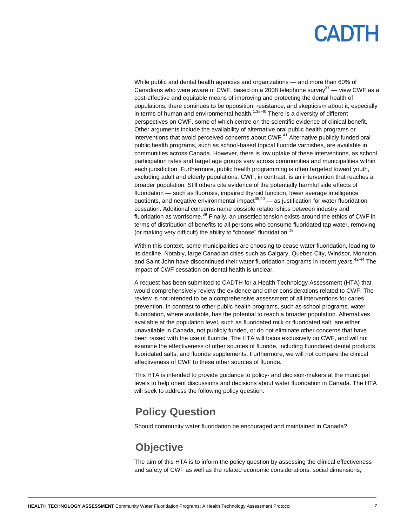While public and dental health agencies and organizations — and more than 60% of Canadians who were aware of CWF, based on a 2008 telephone survey<sup>37</sup> — view CWF as a cost-effective and equitable means of improving and protecting the dental health of populations, there continues to be opposition, resistance, and skepticism about it, especially in terms of human and environmental health.<sup> $1,38-40$ </sup> There is a diversity of different perspectives on CWF, some of which centre on the scientific evidence of clinical benefit. Other arguments include the availability of alternative oral public health programs or interventions that avoid perceived concerns about CWF.<sup>41</sup> Alternative publicly funded oral public health programs, such as school-based topical fluoride varnishes, are available in communities across Canada. However, there is low uptake of these interventions, as school participation rates and target age groups vary across communities and municipalities within each jurisdiction. Furthermore, public health programming is often targeted toward youth, excluding adult and elderly populations. CWF, in contrast, is an intervention that reaches a broader population. Still others cite evidence of the potentially harmful side effects of fluoridation — such as fluorosis, impaired thyroid function, lower average intelligence quotients, and negative environmental impact $39,40$  — as justification for water fluoridation cessation. Additional concerns name possible relationships between industry and fluoridation as worrisome. $39$  Finally, an unsettled tension exists around the ethics of CWF in terms of distribution of benefits to all persons who consume fluoridated tap water, removing (or making very difficult) the ability to "choose" fluoridation.<sup>39</sup>

Within this context, some municipalities are choosing to cease water fluoridation, leading to its decline. Notably, large Canadian cities such as Calgary, Quebec City, Windsor, Moncton, and Saint John have discontinued their water fluoridation programs in recent vears.<sup>42-44</sup> The impact of CWF cessation on dental health is unclear.

A request has been submitted to CADTH for a Health Technology Assessment (HTA) that would comprehensively review the evidence and other considerations related to CWF. The review is not intended to be a comprehensive assessment of all interventions for caries prevention. In contrast to other public health programs, such as school programs, water fluoridation, where available, has the potential to reach a broader population. Alternatives available at the population level, such as fluoridated milk or fluoridated salt, are either unavailable in Canada, not publicly funded, or do not eliminate other concerns that have been raised with the use of fluoride. The HTA will focus exclusively on CWF, and will not examine the effectiveness of other sources of fluoride, including fluoridated dental products, fluoridated salts, and fluoride supplements. Furthermore, we will not compare the clinical effectiveness of CWF to these other sources of fluoride.

This HTA is intended to provide guidance to policy- and decision-makers at the municipal levels to help orient discussions and decisions about water fluoridation in Canada. The HTA will seek to address the following policy question:

### <span id="page-6-0"></span>**Policy Question**

<span id="page-6-1"></span>Should community water fluoridation be encouraged and maintained in Canada?

### **Objective**

The aim of this HTA is to inform the policy question by assessing the clinical effectiveness and safety of CWF as well as the related economic considerations, social dimensions,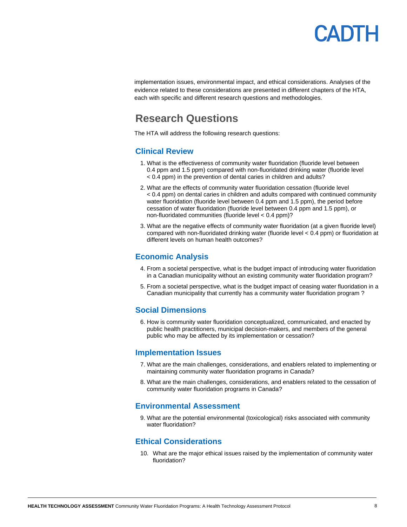## **ADTH**

implementation issues, environmental impact, and ethical considerations. Analyses of the evidence related to these considerations are presented in different chapters of the HTA, each with specific and different research questions and methodologies.

### <span id="page-7-0"></span>**Research Questions**

<span id="page-7-1"></span>The HTA will address the following research questions:

#### **Clinical Review**

- 1. What is the effectiveness of community water fluoridation (fluoride level between 0.4 ppm and 1.5 ppm) compared with non-fluoridated drinking water (fluoride level < 0.4 ppm) in the prevention of dental caries in children and adults?
- 2. What are the effects of community water fluoridation cessation (fluoride level < 0.4 ppm) on dental caries in children and adults compared with continued community water fluoridation (fluoride level between 0.4 ppm and 1.5 ppm), the period before cessation of water fluoridation (fluoride level between 0.4 ppm and 1.5 ppm), or non-fluoridated communities (fluoride level < 0.4 ppm)?
- 3. What are the negative effects of community water fluoridation (at a given fluoride level) compared with non-fluoridated drinking water (fluoride level < 0.4 ppm) or fluoridation at different levels on human health outcomes?

#### <span id="page-7-2"></span>**Economic Analysis**

- 4. From a societal perspective, what is the budget impact of introducing water fluoridation in a Canadian municipality without an existing community water fluoridation program?
- 5. From a societal perspective, what is the budget impact of ceasing water fluoridation in a Canadian municipality that currently has a community water fluoridation program ?

#### <span id="page-7-3"></span>**Social Dimensions**

6. How is community water fluoridation conceptualized, communicated, and enacted by public health practitioners, municipal decision-makers, and members of the general public who may be affected by its implementation or cessation?

#### <span id="page-7-4"></span>**Implementation Issues**

- 7. What are the main challenges, considerations, and enablers related to implementing or maintaining community water fluoridation programs in Canada?
- 8. What are the main challenges, considerations, and enablers related to the cessation of community water fluoridation programs in Canada?

#### <span id="page-7-5"></span>**[Environmental Assessment](#page-25-0)**

9. What are the potential environmental (toxicological) risks associated with community water fluoridation?

#### <span id="page-7-6"></span>**Ethical Considerations**

10. What are the major ethical issues raised by the implementation of community water fluoridation?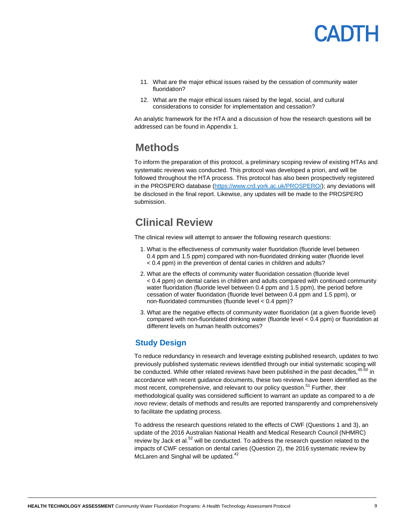

- 11. What are the major ethical issues raised by the cessation of community water fluoridation?
- 12. What are the major ethical issues raised by the legal, social, and cultural considerations to consider for implementation and cessation?

<span id="page-8-0"></span>An analytic framework for the HTA and a discussion of how the research questions will be addressed can be found in [Appendix 1.](#page-36-0)

### **Methods**

To inform the preparation of this protocol, a preliminary scoping review of existing HTAs and systematic reviews was conducted. This protocol was developed a priori, and will be followed throughout the HTA process. This protocol has also been prospectively registered in the PROSPERO database [\(https://www.crd.york.ac.uk/PROSPERO/\)](https://www.crd.york.ac.uk/PROSPERO/); any deviations will be disclosed in the final report. Likewise, any updates will be made to the PROSPERO submission.

### <span id="page-8-1"></span>**Clinical Review**

The clinical review will attempt to answer the following research questions:

- 1. What is the effectiveness of community water fluoridation (fluoride level between 0.4 ppm and 1.5 ppm) compared with non-fluoridated drinking water (fluoride level < 0.4 ppm) in the prevention of dental caries in children and adults?
- 2. What are the effects of community water fluoridation cessation (fluoride level < 0.4 ppm) on dental caries in children and adults compared with continued community water fluoridation (fluoride level between 0.4 ppm and 1.5 ppm), the period before cessation of water fluoridation (fluoride level between 0.4 ppm and 1.5 ppm), or non-fluoridated communities (fluoride level < 0.4 ppm)?
- 3. What are the negative effects of community water fluoridation (at a given fluoride level) compared with non-fluoridated drinking water (fluoride level < 0.4 ppm) or fluoridation at different levels on human health outcomes?

### <span id="page-8-2"></span>**Study Design**

To reduce redundancy in research and leverage existing published research, updates to two previously published systematic reviews identified through our initial systematic scoping will be conducted. While other related reviews have been published in the past decades,<sup>45-50</sup> in accordance with recent guidance documents, these two reviews have been identified as the most recent, comprehensive, and relevant to our policy question.<sup>51</sup> Further, their methodological quality was considered sufficient to warrant an update as compared to a *de novo* review; details of methods and results are reported transparently and comprehensively to facilitate the updating process.

To address the research questions related to the effects of CWF (Questions 1 and 3), an update of the 2016 Australian National Health and Medical Research Council (NHMRC) review by Jack et al.<sup>52</sup> will be conducted. To address the research question related to the impacts of CWF cessation on dental caries (Question 2), the 2016 systematic review by McLaren and Singhal will be updated.<sup>42</sup>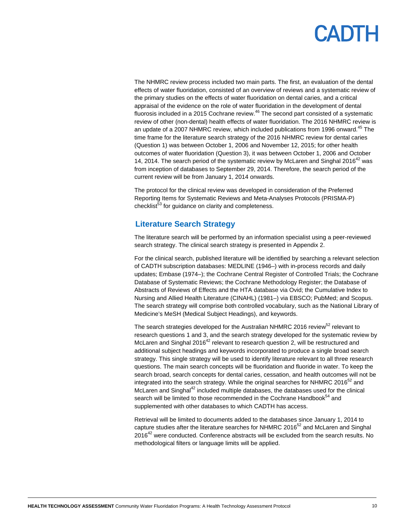## **ANTL**

The NHMRC review process included two main parts. The first, an evaluation of the dental effects of water fluoridation, consisted of an overview of reviews and a systematic review of the primary studies on the effects of water fluoridation on dental caries, and a critical appraisal of the evidence on the role of water fluoridation in the development of dental fluorosis included in a 2015 Cochrane review. $46$  The second part consisted of a systematic review of other (non-dental) health effects of water fluoridation. The 2016 NHMRC review is an update of a 2007 NHMRC review, which included publications from 1996 onward.<sup>45</sup> The time frame for the literature search strategy of the 2016 NHMRC review for dental caries (Question 1) was between October 1, 2006 and November 12, 2015; for other health outcomes of water fluoridation (Question 3), it was between October 1, 2006 and October 14, 2014. The search period of the systematic review by McLaren and Singhal 2016<sup>42</sup> was from inception of databases to September 29, 2014. Therefore, the search period of the current review will be from January 1, 2014 onwards.

The protocol for the clinical review was developed in consideration of the Preferred Reporting Items for Systematic Reviews and Meta-Analyses Protocols (PRISMA-P) checklist<sup>53</sup> for quidance on clarity and completeness.

### <span id="page-9-0"></span>**Literature Search Strategy**

The literature search will be performed by an information specialist using a peer-reviewed search strategy. The clinical search strategy is presented in Appendix 2.

For the clinical search, published literature will be identified by searching a relevant selection of CADTH subscription databases: MEDLINE (1946–) with in-process records and daily updates; Embase (1974–); the Cochrane Central Register of Controlled Trials; the Cochrane Database of Systematic Reviews; the Cochrane Methodology Register; the Database of Abstracts of Reviews of Effects and the HTA database via Ovid; the Cumulative Index to Nursing and Allied Health Literature (CINAHL) (1981–) via EBSCO; PubMed; and Scopus. The search strategy will comprise both controlled vocabulary, such as the National Library of Medicine's MeSH (Medical Subject Headings), and keywords.

The search strategies developed for the Australian NHMRC 2016 review<sup>52</sup> relevant to research questions 1 and 3, and the search strategy developed for the systematic review by McLaren and Singhal 2016<sup>42</sup> relevant to research question 2, will be restructured and additional subject headings and keywords incorporated to produce a single broad search strategy. This single strategy will be used to identify literature relevant to all three research questions. The main search concepts will be fluoridation and fluoride in water. To keep the search broad, search concepts for dental caries, cessation, and health outcomes will not be integrated into the search strategy. While the original searches for NHMRC 2016 $52$  and McLaren and Singhal $42$  included multiple databases, the databases used for the clinical search will be limited to those recommended in the Cochrane Handbook<sup>54</sup> and supplemented with other databases to which CADTH has access.

Retrieval will be limited to documents added to the databases since January 1, 2014 to capture studies after the literature searches for NHMRC 2016 $52$  and McLaren and Singhal  $2016<sup>42</sup>$  were conducted. Conference abstracts will be excluded from the search results. No methodological filters or language limits will be applied.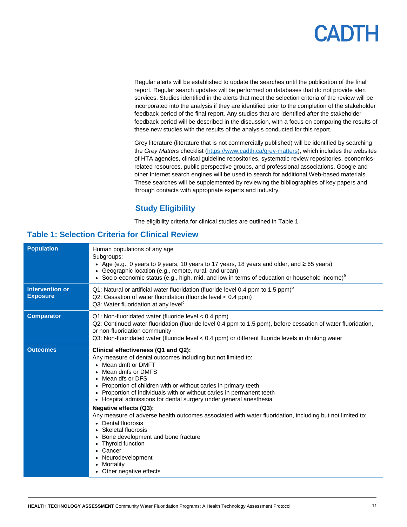Regular alerts will be established to update the searches until the publication of the final report. Regular search updates will be performed on databases that do not provide alert services. Studies identified in the alerts that meet the selection criteria of the review will be incorporated into the analysis if they are identified prior to the completion of the stakeholder feedback period of the final report. Any studies that are identified after the stakeholder feedback period will be described in the discussion, with a focus on comparing the results of these new studies with the results of the analysis conducted for this report.

Grey literature (literature that is not commercially published) will be identified by searching the *Grey Matters* checklist [\(https://www.cadth.ca/grey-matters\)](https://www.cadth.ca/grey-matters), which includes the websites of HTA agencies, clinical guideline repositories, systematic review repositories, economicsrelated resources, public perspective groups, and professional associations. Google and other Internet search engines will be used to search for additional Web-based materials. These searches will be supplemented by reviewing the bibliographies of key papers and through contacts with appropriate experts and industry.

### **Study Eligibility**

The eligibility criteria for clinical studies are outlined in [Table 1.](#page-10-1)

### <span id="page-10-1"></span><span id="page-10-0"></span>**Table 1: Selection Criteria for Clinical Review**

| <b>Population</b>                         | Human populations of any age<br>Subgroups:<br>• Age (e.g., 0 years to 9 years, 10 years to 17 years, 18 years and older, and $\geq 65$ years)<br>Geographic location (e.g., remote, rural, and urban)<br>Socio-economic status (e.g., high, mid, and low in terms of education or household income) <sup>a</sup>                                                                                                                                                                                                                                                                                                                                                                                             |
|-------------------------------------------|--------------------------------------------------------------------------------------------------------------------------------------------------------------------------------------------------------------------------------------------------------------------------------------------------------------------------------------------------------------------------------------------------------------------------------------------------------------------------------------------------------------------------------------------------------------------------------------------------------------------------------------------------------------------------------------------------------------|
| <b>Intervention or</b><br><b>Exposure</b> | Q1: Natural or artificial water fluoridation (fluoride level 0.4 ppm to 1.5 ppm) <sup>b</sup><br>Q2: Cessation of water fluoridation (fluoride level < 0.4 ppm)<br>Q3: Water fluoridation at any level <sup>c</sup>                                                                                                                                                                                                                                                                                                                                                                                                                                                                                          |
| <b>Comparator</b>                         | $Q1$ : Non-fluoridated water (fluoride level < 0.4 ppm)<br>Q2: Continued water fluoridation (fluoride level 0.4 ppm to 1.5 ppm), before cessation of water fluoridation,<br>or non-fluoridation community<br>Q3: Non-fluoridated water (fluoride level < 0.4 ppm) or different fluoride levels in drinking water                                                                                                                                                                                                                                                                                                                                                                                             |
| <b>Outcomes</b>                           | Clinical effectiveness (Q1 and Q2):<br>Any measure of dental outcomes including but not limited to:<br>Mean dmft or DMFT<br>Mean dmfs or DMFS<br>• Mean dfs or DFS<br>Proportion of children with or without caries in primary teeth<br>Proportion of individuals with or without caries in permanent teeth<br>Hospital admissions for dental surgery under general anesthesia<br>$\bullet$<br>Negative effects (Q3):<br>Any measure of adverse health outcomes associated with water fluoridation, including but not limited to:<br>Dental fluorosis<br>Skeletal fluorosis<br>Bone development and bone fracture<br>Thyroid function<br>Cancer<br>Neurodevelopment<br>Mortality<br>• Other negative effects |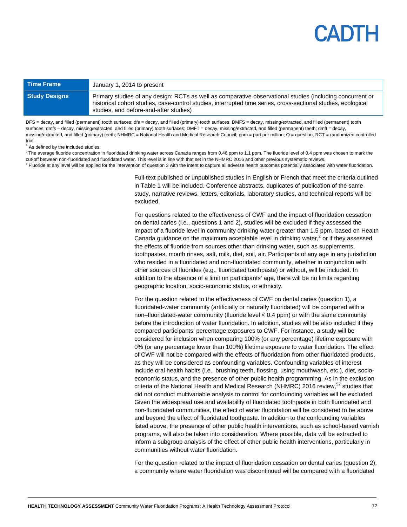| <b>Time Frame</b>    | January 1, 2014 to present                                                                                                                                                                                                                                           |
|----------------------|----------------------------------------------------------------------------------------------------------------------------------------------------------------------------------------------------------------------------------------------------------------------|
| <b>Study Designs</b> | Primary studies of any design: RCTs as well as comparative observational studies (including concurrent or<br>historical cohort studies, case-control studies, interrupted time series, cross-sectional studies, ecological<br>studies, and before-and-after studies) |

DFS = decay, and filled (permanent) tooth surfaces; dfs = decay, and filled (primary) tooth surfaces; DMFS = decay, missing/extracted, and filled (permanent) tooth surfaces; dmfs – decay, missing/extracted, and filled (primary) tooth surfaces; DMFT = decay, missing/extracted, and filled (permanent) teeth; dmft = decay, missing/extracted, and filled (primary) teeth; NHMRC = National Health and Medical Research Council; ppm = part per million; Q = question; RCT = randomized controlled trial.

<sup>a</sup> As defined by the included studies.

<sup>b</sup> The average fluoride concentration in fluoridated drinking water across Canada ranges from 0.46 ppm to 1.1 ppm. The fluoride level of 0.4 ppm was chosen to mark the cut-off between non-fluoridated and fluoridated water. This level is in line with that set in the NHMRC 2016 and other previous systematic reviews. Fluoride at any level will be applied for the intervention of question 3 with the intent to capture all adverse health outcomes potentially associated with water fluoridation.

> Full-text published or unpublished studies in English or French that meet the criteria outlined in Table 1 will be included. Conference abstracts, duplicates of publication of the same study, narrative reviews, letters, editorials, laboratory studies, and technical reports will be excluded.

> For questions related to the effectiveness of CWF and the impact of fluoridation cessation on dental caries (i.e., questions 1 and 2), studies will be excluded if they assessed the impact of a fluoride level in community drinking water greater than 1.5 ppm, based on Health Canada guidance on the maximum acceptable level in drinking water,<sup>2</sup> or if they assessed the effects of fluoride from sources other than drinking water, such as supplements, toothpastes, mouth rinses, salt, milk, diet, soil, air. Participants of any age in any jurisdiction who resided in a fluoridated and non-fluoridated community, whether in conjunction with other sources of fluorides (e.g., fluoridated toothpaste) or without, will be included. In addition to the absence of a limit on participants' age, there will be no limits regarding geographic location, socio-economic status, or ethnicity.

> For the question related to the effectiveness of CWF on dental caries (question 1), a fluoridated-water community (artificially or naturally fluoridated) will be compared with a non–fluoridated-water community (fluoride level < 0.4 ppm) or with the same community before the introduction of water fluoridation. In addition, studies will be also included if they compared participants' percentage exposures to CWF. For instance, a study will be considered for inclusion when comparing 100% (or any percentage) lifetime exposure with 0% (or any percentage lower than 100%) lifetime exposure to water fluoridation. The effect of CWF will not be compared with the effects of fluoridation from other fluoridated products, as they will be considered as confounding variables. Confounding variables of interest include oral health habits (i.e., brushing teeth, flossing, using mouthwash, etc.), diet, socioeconomic status, and the presence of other public health programming. As in the exclusion criteria of the National Health and Medical Research (NHMRC) 2016 review,<sup>52</sup> studies that did not conduct multivariable analysis to control for confounding variables will be excluded. Given the widespread use and availability of fluoridated toothpaste in both fluoridated and non-fluoridated communities, the effect of water fluoridation will be considered to be above and beyond the effect of fluoridated toothpaste. In addition to the confounding variables listed above, the presence of other public health interventions, such as school-based varnish programs, will also be taken into consideration. Where possible, data will be extracted to inform a subgroup analysis of the effect of other public health interventions, particularly in communities without water fluoridation.

For the question related to the impact of fluoridation cessation on dental caries (question 2), a community where water fluoridation was discontinued will be compared with a fluoridated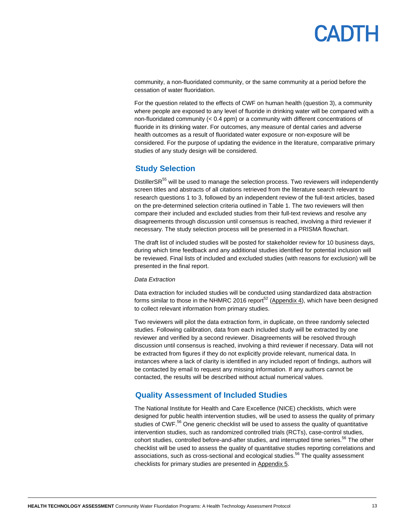## PADTH

community, a non-fluoridated community, or the same community at a period before the cessation of water fluoridation.

For the question related to the effects of CWF on human health (question 3), a community where people are exposed to any level of fluoride in drinking water will be compared with a non-fluoridated community (< 0.4 ppm) or a community with different concentrations of fluoride in its drinking water. For outcomes, any measure of dental caries and adverse health outcomes as a result of fluoridated water exposure or non-exposure will be considered. For the purpose of updating the evidence in the literature, comparative primary studies of any study design will be considered.

### <span id="page-12-0"></span>**Study Selection**

DistillerSR<sup>55</sup> will be used to manage the selection process. Two reviewers will independently screen titles and abstracts of all citations retrieved from the literature search relevant to research questions 1 to 3, followed by an independent review of the full-text articles, based on the pre-determined selection criteria outlined in Table 1. The two reviewers will then compare their included and excluded studies from their full-text reviews and resolve any disagreements through discussion until consensus is reached, involving a third reviewer if necessary. The study selection process will be presented in a PRISMA flowchart.

The draft list of included studies will be posted for stakeholder review for 10 business days, during which time feedback and any additional studies identified for potential inclusion will be reviewed. Final lists of included and excluded studies (with reasons for exclusion) will be presented in the final report.

#### *Data Extraction*

Data extraction for included studies will be conducted using standardized data abstraction forms similar to those in the NHMRC 2016 report<sup>52</sup> [\(Appendix 4\)](#page-47-0), which have been designed to collect relevant information from primary studies.

Two reviewers will pilot the data extraction form, in duplicate, on three randomly selected studies. Following calibration, data from each included study will be extracted by one reviewer and verified by a second reviewer. Disagreements will be resolved through discussion until consensus is reached, involving a third reviewer if necessary. Data will not be extracted from figures if they do not explicitly provide relevant, numerical data. In instances where a lack of clarity is identified in any included report of findings, authors will be contacted by email to request any missing information. If any authors cannot be contacted, the results will be described without actual numerical values.

### <span id="page-12-1"></span>**Quality Assessment of Included Studies**

The National Institute for Health and Care Excellence (NICE) checklists, which were designed for public health intervention studies, will be used to assess the quality of primary studies of CWF.<sup>56</sup> One generic checklist will be used to assess the quality of quantitative intervention studies, such as randomized controlled trials (RCTs), case-control studies, cohort studies, controlled before-and-after studies, and interrupted time series.<sup>56</sup> The other checklist will be used to assess the quality of quantitative studies reporting correlations and associations, such as cross-sectional and ecological studies.<sup>56</sup> The quality assessment checklists for primary studies are presented in [Appendix 5.](#page-49-0)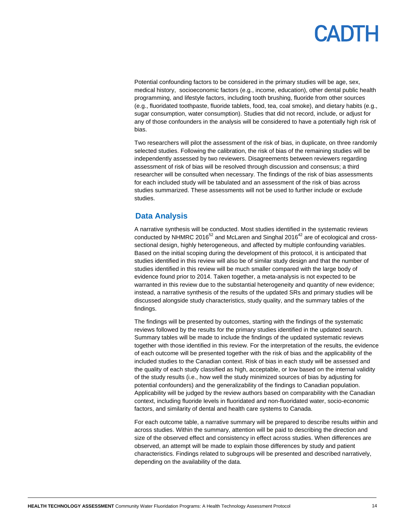Potential confounding factors to be considered in the primary studies will be age, sex, medical history, socioeconomic factors (e.g., income, education), other dental public health programming, and lifestyle factors, including tooth brushing, fluoride from other sources (e.g., fluoridated toothpaste, fluoride tablets, food, tea, coal smoke), and dietary habits (e.g., sugar consumption, water consumption). Studies that did not record, include, or adjust for any of those confounders in the analysis will be considered to have a potentially high risk of bias.

Two researchers will pilot the assessment of the risk of bias, in duplicate, on three randomly selected studies. Following the calibration, the risk of bias of the remaining studies will be independently assessed by two reviewers. Disagreements between reviewers regarding assessment of risk of bias will be resolved through discussion and consensus; a third researcher will be consulted when necessary. The findings of the risk of bias assessments for each included study will be tabulated and an assessment of the risk of bias across studies summarized. These assessments will not be used to further include or exclude studies.

### <span id="page-13-0"></span>**Data Analysis**

A narrative synthesis will be conducted. Most studies identified in the systematic reviews conducted by NHMRC 2016 $52$  and McLaren and Singhal 2016 $42$  are of ecological and crosssectional design, highly heterogeneous, and affected by multiple confounding variables. Based on the initial scoping during the development of this protocol, it is anticipated that studies identified in this review will also be of similar study design and that the number of studies identified in this review will be much smaller compared with the large body of evidence found prior to 2014. Taken together, a meta-analysis is not expected to be warranted in this review due to the substantial heterogeneity and quantity of new evidence; instead, a narrative synthesis of the results of the updated SRs and primary studies will be discussed alongside study characteristics, study quality, and the summary tables of the findings.

The findings will be presented by outcomes, starting with the findings of the systematic reviews followed by the results for the primary studies identified in the updated search. Summary tables will be made to include the findings of the updated systematic reviews together with those identified in this review. For the interpretation of the results, the evidence of each outcome will be presented together with the risk of bias and the applicability of the included studies to the Canadian context. Risk of bias in each study will be assessed and the quality of each study classified as high, acceptable, or low based on the internal validity of the study results (i.e., how well the study minimized sources of bias by adjusting for potential confounders) and the generalizability of the findings to Canadian population. Applicability will be judged by the review authors based on comparability with the Canadian context, including fluoride levels in fluoridated and non-fluoridated water, socio-economic factors, and similarity of dental and health care systems to Canada.

For each outcome table, a narrative summary will be prepared to describe results within and across studies. Within the summary, attention will be paid to describing the direction and size of the observed effect and consistency in effect across studies. When differences are observed, an attempt will be made to explain those differences by study and patient characteristics. Findings related to subgroups will be presented and described narratively, depending on the availability of the data.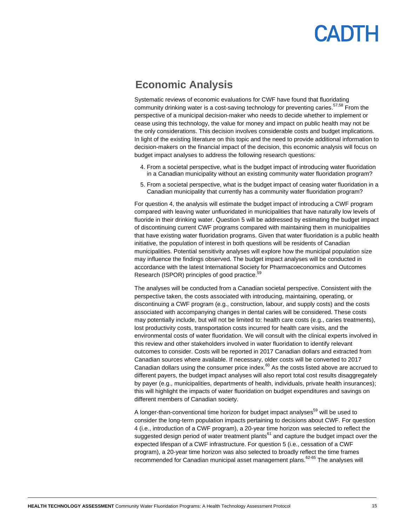### <span id="page-14-0"></span>**Economic Analysis**

Systematic reviews of economic evaluations for CWF have found that fluoridating community drinking water is a cost-saving technology for preventing caries.<sup>57,58</sup> From the perspective of a municipal decision-maker who needs to decide whether to implement or cease using this technology, the value for money and impact on public health may not be the only considerations. This decision involves considerable costs and budget implications. In light of the existing literature on this topic and the need to provide additional information to decision-makers on the financial impact of the decision, this economic analysis will focus on budget impact analyses to address the following research questions:

- 4. From a societal perspective, what is the budget impact of introducing water fluoridation in a Canadian municipality without an existing community water fluoridation program?
- 5. From a societal perspective, what is the budget impact of ceasing water fluoridation in a Canadian municipality that currently has a community water fluoridation program?

For question 4, the analysis will estimate the budget impact of introducing a CWF program compared with leaving water unfluoridated in municipalities that have naturally low levels of fluoride in their drinking water. Question 5 will be addressed by estimating the budget impact of discontinuing current CWF programs compared with maintaining them in municipalities that have existing water fluoridation programs. Given that water fluoridation is a public health initiative, the population of interest in both questions will be residents of Canadian municipalities. Potential sensitivity analyses will explore how the municipal population size may influence the findings observed. The budget impact analyses will be conducted in accordance with the latest International Society for Pharmacoeconomics and Outcomes Research (ISPOR) principles of good practice.<sup>5</sup>

The analyses will be conducted from a Canadian societal perspective. Consistent with the perspective taken, the costs associated with introducing, maintaining, operating, or discontinuing a CWF program (e.g., construction, labour, and supply costs) and the costs associated with accompanying changes in dental caries will be considered. These costs may potentially include, but will not be limited to: health care costs (e.g., caries treatments), lost productivity costs, transportation costs incurred for health care visits, and the environmental costs of water fluoridation. We will consult with the clinical experts involved in this review and other stakeholders involved in water fluoridation to identify relevant outcomes to consider. Costs will be reported in 2017 Canadian dollars and extracted from Canadian sources where available. If necessary, older costs will be converted to 2017 Canadian dollars using the consumer price index. $^{60}$  As the costs listed above are accrued to different payers, the budget impact analyses will also report total cost results disaggregately by payer (e.g., municipalities, departments of health, individuals, private health insurances); this will highlight the impacts of water fluoridation on budget expenditures and savings on different members of Canadian society.

A longer-than-conventional time horizon for budget impact analyses<sup>59</sup> will be used to consider the long-term population impacts pertaining to decisions about CWF. For question 4 (i.e., introduction of a CWF program), a 20-year time horizon was selected to reflect the suggested design period of water treatment plants<sup>61</sup> and capture the budget impact over the expected lifespan of a CWF infrastructure. For question 5 (i.e., cessation of a CWF program), a 20-year time horizon was also selected to broadly reflect the time frames recommended for Canadian municipal asset management plans.<sup>62-65</sup> The analyses will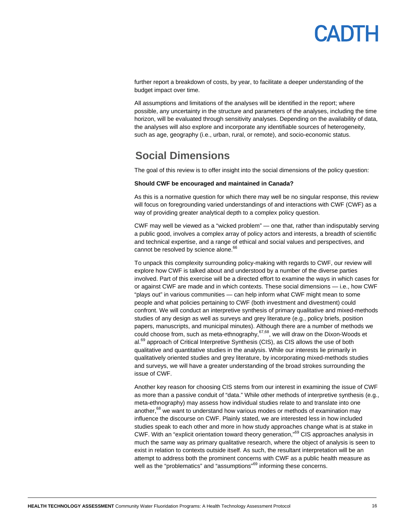

further report a breakdown of costs, by year, to facilitate a deeper understanding of the budget impact over time.

All assumptions and limitations of the analyses will be identified in the report; where possible, any uncertainty in the structure and parameters of the analyses, including the time horizon, will be evaluated through sensitivity analyses. Depending on the availability of data, the analyses will also explore and incorporate any identifiable sources of heterogeneity, such as age, geography (i.e., urban, rural, or remote), and socio-economic status.

### <span id="page-15-0"></span>**Social Dimensions**

The goal of this review is to offer insight into the social dimensions of the policy question:

#### **Should CWF be encouraged and maintained in Canada?**

As this is a normative question for which there may well be no singular response, this review will focus on foregrounding varied understandings of and interactions with CWF (CWF) as a way of providing greater analytical depth to a complex policy question.

CWF may well be viewed as a "wicked problem" — one that, rather than indisputably serving a public good, involves a complex array of policy actors and interests, a breadth of scientific and technical expertise, and a range of ethical and social values and perspectives, and cannot be resolved by science alone.<sup>66</sup>

To unpack this complexity surrounding policy-making with regards to CWF, our review will explore how CWF is talked about and understood by a number of the diverse parties involved. Part of this exercise will be a directed effort to examine the ways in which cases for or against CWF are made and in which contexts. These social dimensions — i.e., how CWF "plays out" in various communities — can help inform what CWF might mean to some people and what policies pertaining to CWF (both investment and divestment) could confront. We will conduct an interpretive synthesis of primary qualitative and mixed-methods studies of any design as well as surveys and grey literature (e.g., policy briefs, position papers, manuscripts, and municipal minutes). Although there are a number of methods we could choose from, such as meta-ethnography, 67,68, we will draw on the Dixon-Woods et al.<sup>69</sup> approach of Critical Interpretive Synthesis (CIS), as CIS allows the use of both qualitative and quantitative studies in the analysis. While our interests lie primarily in qualitatively oriented studies and grey literature, by incorporating mixed-methods studies and surveys, we will have a greater understanding of the broad strokes surrounding the issue of CWF.

Another key reason for choosing CIS stems from our interest in examining the issue of CWF as more than a passive conduit of "data." While other methods of interpretive synthesis (e.g., meta-ethnography) may assess how individual studies relate to and translate into one another, $68$  we want to understand how various modes or methods of examination may influence the discourse on CWF. Plainly stated, we are interested less in how included studies speak to each other and more in how study approaches change what is at stake in CWF. With an "explicit orientation toward theory generation,"<sup>69</sup> CIS approaches analysis in much the same way as primary qualitative research, where the object of analysis is seen to exist in relation to contexts outside itself. As such, the resultant interpretation will be an attempt to address both the prominent concerns with CWF as a public health measure as well as the "problematics" and "assumptions"<sup>69</sup> informing these concerns.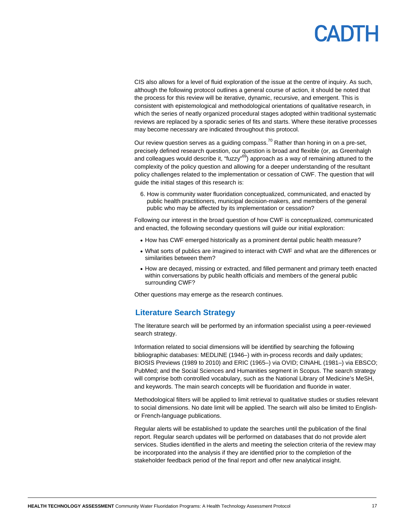## **ADTH**

CIS also allows for a level of fluid exploration of the issue at the centre of inquiry. As such, although the following protocol outlines a general course of action, it should be noted that the process for this review will be iterative, dynamic, recursive, and emergent. This is consistent with epistemological and methodological orientations of qualitative research, in which the series of neatly organized procedural stages adopted within traditional systematic reviews are replaced by a sporadic series of fits and starts. Where these iterative processes may become necessary are indicated throughout this protocol.

Our review question serves as a guiding compass.<sup>70</sup> Rather than honing in on a pre-set, precisely defined research question, our question is broad and flexible (or, as Greenhalgh and colleagues would describe it, "fuzzy"<sup>69</sup>) approach as a way of remaining attuned to the complexity of the policy question and allowing for a deeper understanding of the resultant policy challenges related to the implementation or cessation of CWF. The question that will guide the initial stages of this research is:

6. How is community water fluoridation conceptualized, communicated, and enacted by public health practitioners, municipal decision-makers, and members of the general public who may be affected by its implementation or cessation?

Following our interest in the broad question of how CWF is conceptualized, communicated and enacted, the following secondary questions will guide our initial exploration:

- How has CWF emerged historically as a prominent dental public health measure?
- What sorts of publics are imagined to interact with CWF and what are the differences or similarities between them?
- How are decayed, missing or extracted, and filled permanent and primary teeth enacted within conversations by public health officials and members of the general public surrounding CWF?

<span id="page-16-0"></span>Other questions may emerge as the research continues.

#### **Literature Search Strategy**

The literature search will be performed by an information specialist using a peer-reviewed search strategy.

Information related to social dimensions will be identified by searching the following bibliographic databases: MEDLINE (1946–) with in-process records and daily updates; BIOSIS Previews (1989 to 2010) and ERIC (1965–) via OVID; CINAHL (1981–) via EBSCO; PubMed; and the Social Sciences and Humanities segment in Scopus. The search strategy will comprise both controlled vocabulary, such as the National Library of Medicine's MeSH, and keywords. The main search concepts will be fluoridation and fluoride in water.

Methodological filters will be applied to limit retrieval to qualitative studies or studies relevant to social dimensions. No date limit will be applied. The search will also be limited to Englishor French-language publications.

Regular alerts will be established to update the searches until the publication of the final report. Regular search updates will be performed on databases that do not provide alert services. Studies identified in the alerts and meeting the selection criteria of the review may be incorporated into the analysis if they are identified prior to the completion of the stakeholder feedback period of the final report and offer new analytical insight.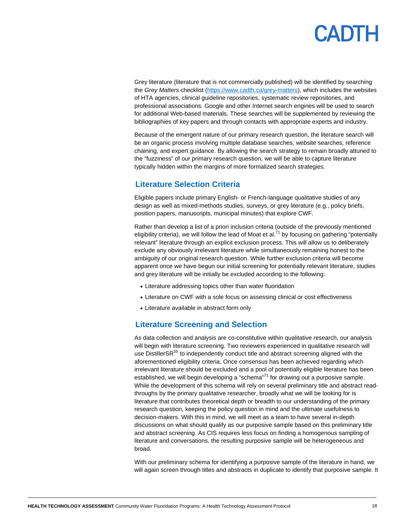## **ADTH**

Grey literature (literature that is not commercially published) will be identified by searching the *Grey Matters* checklist [\(https://www.cadth.ca/grey-matters\)](https://www.cadth.ca/grey-matters), which includes the websites of HTA agencies, clinical guideline repositories, systematic review repositories, and professional associations. Google and other Internet search engines will be used to search for additional Web-based materials. These searches will be supplemented by reviewing the bibliographies of key papers and through contacts with appropriate experts and industry.

Because of the emergent nature of our primary research question, the literature search will be an organic process involving multiple database searches, website searches, reference chaining, and expert guidance. By allowing the search strategy to remain broadly attuned to the "fuzziness" of our primary research question, we will be able to capture literature typically hidden within the margins of more formalized search strategies.

### <span id="page-17-0"></span>**Literature Selection Criteria**

Eligible papers include primary English- or French-language qualitative studies of any design as well as mixed-methods studies, surveys, or grey literature (e.g., policy briefs, position papers, manuscripts, municipal minutes) that explore CWF.

Rather than develop a list of a priori inclusion criteria (outside of the previously mentioned eligibility criteria), we will follow the lead of Moat et al.<sup>71</sup> by focusing on gathering "potentially relevant" literature through an explicit exclusion process. This will allow us to deliberately exclude any obviously irrelevant literature while simultaneously remaining honest to the ambiguity of our original research question. While further exclusion criteria will become apparent once we have begun our initial screening for potentially relevant literature, studies and grey literature will be initially be excluded according to the following:

- Literature addressing topics other than water fluoridation
- Literature on CWF with a sole focus on assessing clinical or cost effectiveness
- Literature available in abstract form only

#### <span id="page-17-1"></span>**Literature Screening and Selection**

As data collection and analysis are co-constitutive within qualitative research, our analysis will begin with literature screening. Two reviewers experienced in qualitative research will use DistillerSR<sup>55</sup> to independently conduct title and abstract screening aligned with the aforementioned eligibility criteria. Once consensus has been achieved regarding which irrelevant literature should be excluded and a pool of potentially eligible literature has been established, we will begin developing a "schema"<sup>71</sup> for drawing out a purposive sample. While the development of this schema will rely on several preliminary title and abstract readthroughs by the primary qualitative researcher, broadly what we will be looking for is literature that contributes theoretical depth or breadth to our understanding of the primary research question, keeping the policy question in mind and the ultimate usefulness to decision-makers. With this in mind, we will meet as a team to have several in-depth discussions on what should qualify as our purposive sample based on this preliminary title and abstract screening. As CIS requires less focus on finding a homogenous sampling of literature and conversations, the resulting purposive sample will be heterogeneous and broad.

With our preliminary schema for identifying a purposive sample of the literature in hand, we will again screen through titles and abstracts in duplicate to identify that purposive sample. It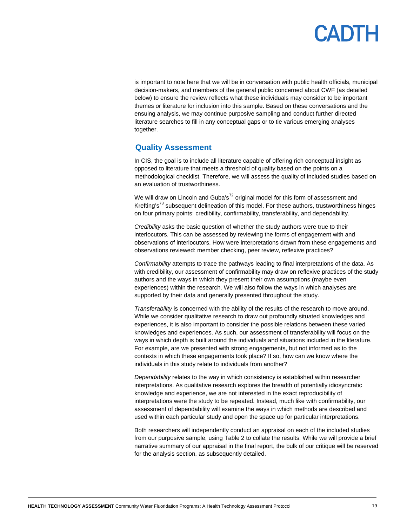## PADTH

is important to note here that we will be in conversation with public health officials, municipal decision-makers, and members of the general public concerned about CWF (as detailed below) to ensure the review reflects what these individuals may consider to be important themes or literature for inclusion into this sample. Based on these conversations and the ensuing analysis, we may continue purposive sampling and conduct further directed literature searches to fill in any conceptual gaps or to tie various emerging analyses together.

### <span id="page-18-0"></span>**Quality Assessment**

In CIS, the goal is to include all literature capable of offering rich conceptual insight as opposed to literature that meets a threshold of quality based on the points on a methodological checklist. Therefore, we will assess the quality of included studies based on an evaluation of trustworthiness.

We will draw on Lincoln and Guba's $^{72}$  original model for this form of assessment and Krefting's<sup>73</sup> subsequent delineation of this model. For these authors, trustworthiness hinges on four primary points: credibility, confirmability, transferability, and dependability.

*Credibility* asks the basic question of whether the study authors were true to their interlocutors. This can be assessed by reviewing the forms of engagement with and observations of interlocutors. How were interpretations drawn from these engagements and observations reviewed: member checking, peer review, reflexive practices?

*Confirmability* attempts to trace the pathways leading to final interpretations of the data. As with credibility, our assessment of confirmability may draw on reflexive practices of the study authors and the ways in which they present their own assumptions (maybe even experiences) within the research. We will also follow the ways in which analyses are supported by their data and generally presented throughout the study.

*Transferability* is concerned with the ability of the results of the research to move around. While we consider qualitative research to draw out profoundly situated knowledges and experiences, it is also important to consider the possible relations between these varied knowledges and experiences. As such, our assessment of transferability will focus on the ways in which depth is built around the individuals and situations included in the literature. For example, are we presented with strong engagements, but not informed as to the contexts in which these engagements took place? If so, how can we know where the individuals in this study relate to individuals from another?

*Dependability* relates to the way in which consistency is established within researcher interpretations. As qualitative research explores the breadth of potentially idiosyncratic knowledge and experience, we are not interested in the exact reproducibility of interpretations were the study to be repeated. Instead, much like with confirmability, our assessment of dependability will examine the ways in which methods are described and used within each particular study and open the space up for particular interpretations.

Both researchers will independently conduct an appraisal on each of the included studies from our purposive sample, using Table 2 to collate the results. While we will provide a brief narrative summary of our appraisal in the final report, the bulk of our critique will be reserved for the analysis section, as subsequently detailed.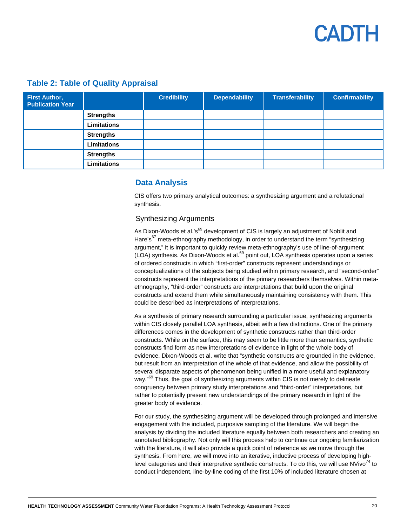<span id="page-19-0"></span>

| <b>First Author,</b><br><b>Publication Year</b> |                    | <b>Credibility</b> | <b>Dependability</b> | <b>Transferability</b> | <b>Confirmability</b> |
|-------------------------------------------------|--------------------|--------------------|----------------------|------------------------|-----------------------|
|                                                 | <b>Strengths</b>   |                    |                      |                        |                       |
|                                                 | <b>Limitations</b> |                    |                      |                        |                       |
|                                                 | <b>Strengths</b>   |                    |                      |                        |                       |
|                                                 | <b>Limitations</b> |                    |                      |                        |                       |
|                                                 | <b>Strengths</b>   |                    |                      |                        |                       |
|                                                 | <b>Limitations</b> |                    |                      |                        |                       |

### **Table 2: Table of Quality Appraisal**

### **Data Analysis**

CIS offers two primary analytical outcomes: a synthesizing argument and a refutational synthesis.

#### Synthesizing Arguments

As Dixon-Woods et al.'s<sup>69</sup> development of CIS is largely an adjustment of Noblit and Hare's $67$  meta-ethnography methodology, in order to understand the term "synthesizing" argument," it is important to quickly review meta-ethnography's use of line-of-argument (LOA) synthesis. As Dixon-Woods et al.<sup>69</sup> point out, LOA synthesis operates upon a series of ordered constructs in which "first-order" constructs represent understandings or conceptualizations of the subjects being studied within primary research, and "second-order" constructs represent the interpretations of the primary researchers themselves. Within metaethnography, "third-order" constructs are interpretations that build upon the original constructs and extend them while simultaneously maintaining consistency with them. This could be described as interpretations of interpretations.

As a synthesis of primary research surrounding a particular issue, synthesizing arguments within CIS closely parallel LOA synthesis, albeit with a few distinctions. One of the primary differences comes in the development of synthetic constructs rather than third-order constructs. While on the surface, this may seem to be little more than semantics, synthetic constructs find form as new interpretations of evidence in light of the whole body of evidence. Dixon-Woods et al. write that "synthetic constructs are grounded in the evidence, but result from an interpretation of the whole of that evidence, and allow the possibility of several disparate aspects of phenomenon being unified in a more useful and explanatory way."<sup>69</sup> Thus, the goal of synthesizing arguments within CIS is not merely to delineate congruency between primary study interpretations and "third-order" interpretations, but rather to potentially present new understandings of the primary research in light of the greater body of evidence.

For our study, the synthesizing argument will be developed through prolonged and intensive engagement with the included, purposive sampling of the literature. We will begin the analysis by dividing the included literature equally between both researchers and creating an annotated bibliography. Not only will this process help to continue our ongoing familiarization with the literature, it will also provide a quick point of reference as we move through the synthesis. From here, we will move into an iterative, inductive process of developing highlevel categories and their interpretive synthetic constructs. To do this, we will use  $N$ Vivo<sup>74</sup> to conduct independent, line-by-line coding of the first 10% of included literature chosen at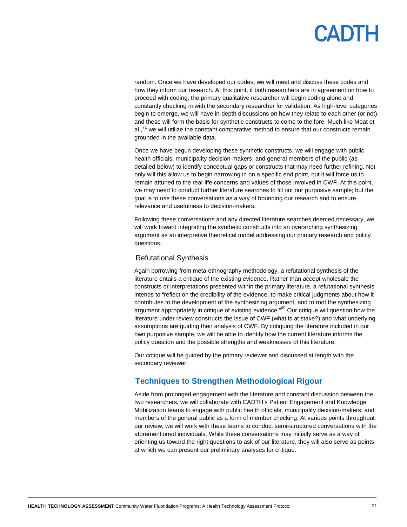random. Once we have developed our codes, we will meet and discuss these codes and how they inform our research. At this point, if both researchers are in agreement on how to proceed with coding, the primary qualitative researcher will begin coding alone and constantly checking in with the secondary researcher for validation. As high-level categories begin to emerge, we will have in-depth discussions on how they relate to each other (or not), and these will form the basis for synthetic constructs to come to the fore. Much like Moat et  $al.^{71}$  we will utilize the constant comparative method to ensure that our constructs remain grounded in the available data.

Once we have begun developing these synthetic constructs, we will engage with public health officials, municipality decision-makers, and general members of the public (as detailed below) to identify conceptual gaps or constructs that may need further refining. Not only will this allow us to begin narrowing in on a specific end point, but it will force us to remain attuned to the real-life concerns and values of those involved in CWF. At this point, we may need to conduct further literature searches to fill out our purposive sample; but the goal is to use these conversations as a way of bounding our research and to ensure relevance and usefulness to decision-makers.

Following these conversations and any directed literature searches deemed necessary, we will work toward integrating the synthetic constructs into an overarching synthesizing argument as an interpretive theoretical model addressing our primary research and policy questions.

#### Refutational Synthesis

Again borrowing from meta-ethnography methodology, a refutational synthesis of the literature entails a critique of the existing evidence. Rather than accept wholesale the constructs or interpretations presented within the primary literature, a refutational synthesis intends to "reflect on the credibility of the evidence, to make critical judgments about how it contributes to the development of the synthesizing argument, and to root the synthesizing argument appropriately in critique of existing evidence."<sup>69</sup> Our critique will question how the literature under review constructs the issue of CWF (what is at stake?) and what underlying assumptions are guiding their analysis of CWF. By critiquing the literature included in our own purposive sample, we will be able to identify how the current literature informs the policy question and the possible strengths and weaknesses of this literature.

Our critique will be guided by the primary reviewer and discussed at length with the secondary reviewer.

### <span id="page-20-0"></span>**Techniques to Strengthen Methodological Rigour**

Aside from prolonged engagement with the literature and constant discussion between the two researchers, we will collaborate with CADTH's Patient Engagement and Knowledge Mobilization teams to engage with public health officials, municipality decision-makers, and members of the general public as a form of member checking. At various points throughout our review, we will work with these teams to conduct semi-structured conversations with the aforementioned individuals. While these conversations may initially serve as a way of orienting us toward the right questions to ask of our literature, they will also serve as points at which we can present our preliminary analyses for critique.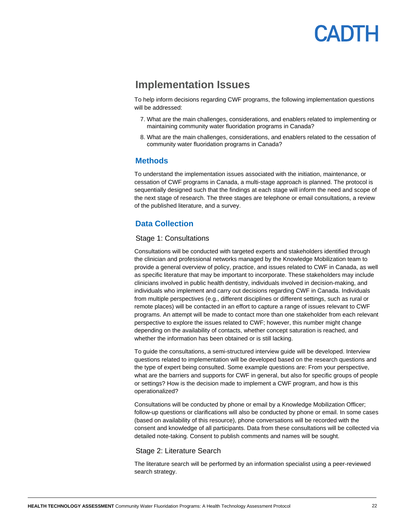## **ANTH**

### **Implementation Issues**

<span id="page-21-0"></span>To help inform decisions regarding CWF programs, the following implementation questions will be addressed:

- 7. What are the main challenges, considerations, and enablers related to implementing or maintaining community water fluoridation programs in Canada?
- 8. What are the main challenges, considerations, and enablers related to the cessation of community water fluoridation programs in Canada?

#### <span id="page-21-1"></span>**Methods**

To understand the implementation issues associated with the initiation, maintenance, or cessation of CWF programs in Canada, a multi-stage approach is planned. The protocol is sequentially designed such that the findings at each stage will inform the need and scope of the next stage of research. The three stages are telephone or email consultations, a review of the published literature, and a survey.

### <span id="page-21-2"></span>**Data Collection**

#### Stage 1: Consultations

Consultations will be conducted with targeted experts and stakeholders identified through the clinician and professional networks managed by the Knowledge Mobilization team to provide a general overview of policy, practice, and issues related to CWF in Canada, as well as specific literature that may be important to incorporate. These stakeholders may include clinicians involved in public health dentistry, individuals involved in decision-making, and individuals who implement and carry out decisions regarding CWF in Canada. Individuals from multiple perspectives (e.g., different disciplines or different settings, such as rural or remote places) will be contacted in an effort to capture a range of issues relevant to CWF programs. An attempt will be made to contact more than one stakeholder from each relevant perspective to explore the issues related to CWF; however, this number might change depending on the availability of contacts, whether concept saturation is reached, and whether the information has been obtained or is still lacking.

To guide the consultations, a semi-structured interview guide will be developed. Interview questions related to implementation will be developed based on the research questions and the type of expert being consulted. Some example questions are: From your perspective, what are the barriers and supports for CWF in general, but also for specific groups of people or settings? How is the decision made to implement a CWF program, and how is this operationalized?

Consultations will be conducted by phone or email by a Knowledge Mobilization Officer; follow-up questions or clarifications will also be conducted by phone or email. In some cases (based on availability of this resource), phone conversations will be recorded with the consent and knowledge of all participants. Data from these consultations will be collected via detailed note-taking. Consent to publish comments and names will be sought.

#### Stage 2: Literature Search

The literature search will be performed by an information specialist using a peer-reviewed search strategy.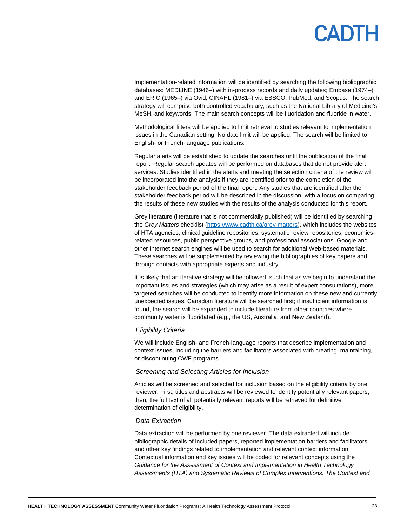Implementation-related information will be identified by searching the following bibliographic databases: MEDLINE (1946–) with in-process records and daily updates; Embase (1974–) and ERIC (1965–) via Ovid; CINAHL (1981–) via EBSCO; PubMed; and Scopus. The search strategy will comprise both controlled vocabulary, such as the National Library of Medicine's MeSH, and keywords. The main search concepts will be fluoridation and fluoride in water.

Methodological filters will be applied to limit retrieval to studies relevant to implementation issues in the Canadian setting. No date limit will be applied. The search will be limited to English- or French-language publications.

Regular alerts will be established to update the searches until the publication of the final report. Regular search updates will be performed on databases that do not provide alert services. Studies identified in the alerts and meeting the selection criteria of the review will be incorporated into the analysis if they are identified prior to the completion of the stakeholder feedback period of the final report. Any studies that are identified after the stakeholder feedback period will be described in the discussion, with a focus on comparing the results of these new studies with the results of the analysis conducted for this report.

Grey literature (literature that is not commercially published) will be identified by searching the *Grey Matters* checklist [\(https://www.cadth.ca/grey-matters\)](https://www.cadth.ca/grey-matters), which includes the websites of HTA agencies, clinical guideline repositories, systematic review repositories, economicsrelated resources, public perspective groups, and professional associations. Google and other Internet search engines will be used to search for additional Web-based materials. These searches will be supplemented by reviewing the bibliographies of key papers and through contacts with appropriate experts and industry.

It is likely that an iterative strategy will be followed, such that as we begin to understand the important issues and strategies (which may arise as a result of expert consultations), more targeted searches will be conducted to identify more information on these new and currently unexpected issues. Canadian literature will be searched first; if insufficient information is found, the search will be expanded to include literature from other countries where community water is fluoridated (e.g., the US, Australia, and New Zealand).

#### *Eligibility Criteria*

We will include English- and French-language reports that describe implementation and context issues, including the barriers and facilitators associated with creating, maintaining, or discontinuing CWF programs.

#### *Screening and Selecting Articles for Inclusion*

Articles will be screened and selected for inclusion based on the eligibility criteria by one reviewer. First, titles and abstracts will be reviewed to identify potentially relevant papers; then, the full text of all potentially relevant reports will be retrieved for definitive determination of eligibility.

#### *Data Extraction*

Data extraction will be performed by one reviewer. The data extracted will include bibliographic details of included papers, reported implementation barriers and facilitators, and other key findings related to implementation and relevant context information. Contextual information and key issues will be coded for relevant concepts using the *Guidance for the Assessment of Context and Implementation in Health Technology Assessments (HTA) and Systematic Reviews of Complex Interventions: The Context and*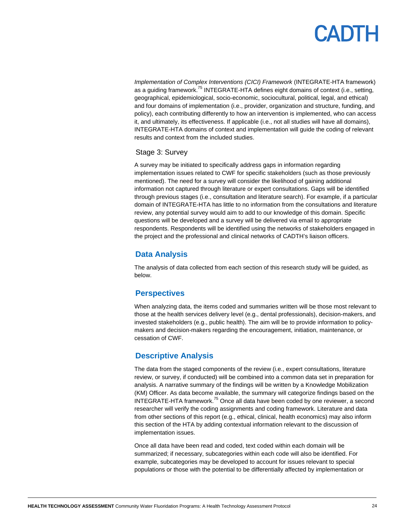## **ADTH**

*Implementation of Complex Interventions (CICI) Framework* (INTEGRATE-HTA framework) as a quiding framework.<sup>75</sup> INTEGRATE-HTA defines eight domains of context (i.e., setting, geographical, epidemiological, socio-economic, sociocultural, political, legal, and ethical) and four domains of implementation (i.e., provider, organization and structure, funding, and policy), each contributing differently to how an intervention is implemented, who can access it, and ultimately, its effectiveness. If applicable (i.e., not all studies will have all domains), INTEGRATE-HTA domains of context and implementation will guide the coding of relevant results and context from the included studies.

#### Stage 3: Survey

A survey may be initiated to specifically address gaps in information regarding implementation issues related to CWF for specific stakeholders (such as those previously mentioned). The need for a survey will consider the likelihood of gaining additional information not captured through literature or expert consultations. Gaps will be identified through previous stages (i.e., consultation and literature search). For example, if a particular domain of INTEGRATE-HTA has little to no information from the consultations and literature review, any potential survey would aim to add to our knowledge of this domain. Specific questions will be developed and a survey will be delivered via email to appropriate respondents. Respondents will be identified using the networks of stakeholders engaged in the project and the professional and clinical networks of CADTH's liaison officers.

### <span id="page-23-0"></span>**Data Analysis**

The analysis of data collected from each section of this research study will be guided, as below.

### <span id="page-23-1"></span>**Perspectives**

When analyzing data, the items coded and summaries written will be those most relevant to those at the health services delivery level (e.g., dental professionals), decision-makers, and invested stakeholders (e.g., public health). The aim will be to provide information to policymakers and decision-makers regarding the encouragement, initiation, maintenance, or cessation of CWF.

### <span id="page-23-2"></span>**Descriptive Analysis**

The data from the staged components of the review (i.e., expert consultations, literature review, or survey, if conducted) will be combined into a common data set in preparation for analysis. A narrative summary of the findings will be written by a Knowledge Mobilization (KM) Officer. As data become available, the summary will categorize findings based on the INTEGRATE-HTA framework.<sup>75</sup> Once all data have been coded by one reviewer, a second researcher will verify the coding assignments and coding framework. Literature and data from other sections of this report (e.g., ethical, clinical, health economics) may also inform this section of the HTA by adding contextual information relevant to the discussion of implementation issues.

Once all data have been read and coded, text coded within each domain will be summarized; if necessary, subcategories within each code will also be identified. For example, subcategories may be developed to account for issues relevant to special populations or those with the potential to be differentially affected by implementation or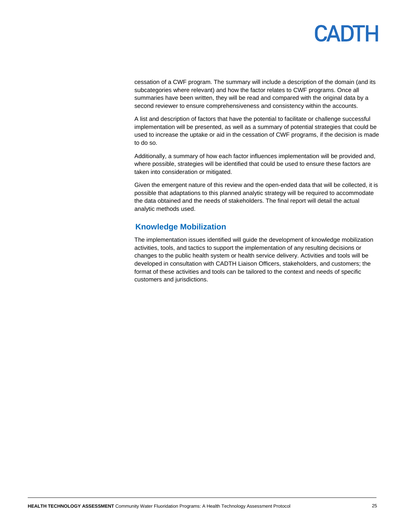cessation of a CWF program. The summary will include a description of the domain (and its subcategories where relevant) and how the factor relates to CWF programs. Once all summaries have been written, they will be read and compared with the original data by a second reviewer to ensure comprehensiveness and consistency within the accounts.

A list and description of factors that have the potential to facilitate or challenge successful implementation will be presented, as well as a summary of potential strategies that could be used to increase the uptake or aid in the cessation of CWF programs, if the decision is made to do so.

Additionally, a summary of how each factor influences implementation will be provided and, where possible, strategies will be identified that could be used to ensure these factors are taken into consideration or mitigated.

Given the emergent nature of this review and the open-ended data that will be collected, it is possible that adaptations to this planned analytic strategy will be required to accommodate the data obtained and the needs of stakeholders. The final report will detail the actual analytic methods used.

### <span id="page-24-0"></span>**Knowledge Mobilization**

The implementation issues identified will guide the development of knowledge mobilization activities, tools, and tactics to support the implementation of any resulting decisions or changes to the public health system or health service delivery. Activities and tools will be developed in consultation with CADTH Liaison Officers, stakeholders, and customers; the format of these activities and tools can be tailored to the context and needs of specific customers and jurisdictions.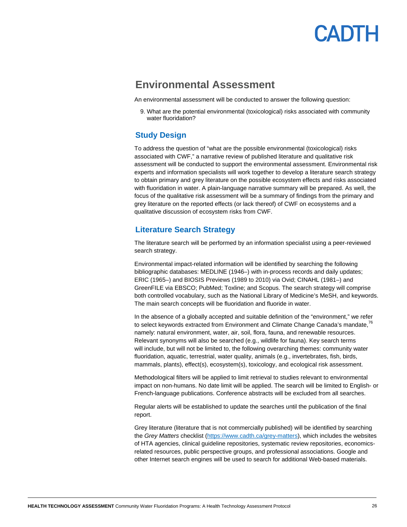## PANTH

### **Environmental Assessment**

<span id="page-25-0"></span>An environmental assessment will be conducted to answer the following question:

9. What are the potential environmental (toxicological) risks associated with community water fluoridation?

### **Study Design**

<span id="page-25-1"></span>To address the question of "what are the possible environmental (toxicological) risks associated with CWF," a narrative review of published literature and qualitative risk assessment will be conducted to support the environmental assessment. Environmental risk experts and information specialists will work together to develop a literature search strategy to obtain primary and grey literature on the possible ecosystem effects and risks associated with fluoridation in water. A plain-language narrative summary will be prepared. As well, the focus of the qualitative risk assessment will be a summary of findings from the primary and grey literature on the reported effects (or lack thereof) of CWF on ecosystems and a qualitative discussion of ecosystem risks from CWF.

### <span id="page-25-2"></span>**Literature Search Strategy**

The literature search will be performed by an information specialist using a peer-reviewed search strategy.

Environmental impact-related information will be identified by searching the following bibliographic databases: MEDLINE (1946–) with in-process records and daily updates; ERIC (1965–) and BIOSIS Previews (1989 to 2010) via Ovid; CINAHL (1981–) and GreenFILE via EBSCO; PubMed; Toxline; and Scopus. The search strategy will comprise both controlled vocabulary, such as the National Library of Medicine's MeSH, and keywords. The main search concepts will be fluoridation and fluoride in water.

In the absence of a globally accepted and suitable definition of the "environment," we refer to select keywords extracted from Environment and Climate Change Canada's mandate,<sup>76</sup> namely: natural environment, water, air, soil, flora, fauna, and renewable resources. Relevant synonyms will also be searched (e.g., wildlife for fauna). Key search terms will include, but will not be limited to, the following overarching themes: community water fluoridation, aquatic, terrestrial, water quality, animals (e.g., invertebrates, fish, birds, mammals, plants), effect(s), ecosystem(s), toxicology, and ecological risk assessment.

Methodological filters will be applied to limit retrieval to studies relevant to environmental impact on non-humans. No date limit will be applied. The search will be limited to English- or French-language publications. Conference abstracts will be excluded from all searches.

Regular alerts will be established to update the searches until the publication of the final report.

Grey literature (literature that is not commercially published) will be identified by searching the *Grey Matters* checklist [\(https://www.cadth.ca/grey-matters\)](https://www.cadth.ca/grey-matters), which includes the websites of HTA agencies, clinical guideline repositories, systematic review repositories, economicsrelated resources, public perspective groups, and professional associations. Google and other Internet search engines will be used to search for additional Web-based materials.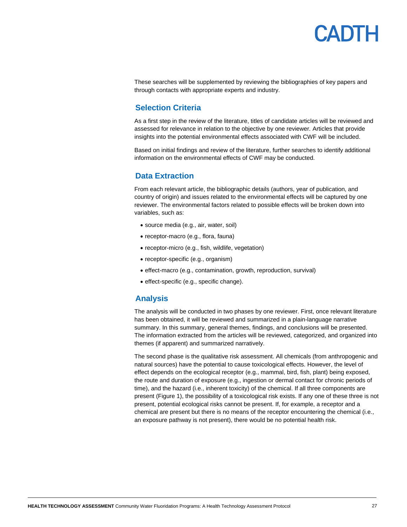

These searches will be supplemented by reviewing the bibliographies of key papers and through contacts with appropriate experts and industry.

### <span id="page-26-0"></span>**Selection Criteria**

As a first step in the review of the literature, titles of candidate articles will be reviewed and assessed for relevance in relation to the objective by one reviewer*.* Articles that provide insights into the potential environmental effects associated with CWF will be included.

<span id="page-26-1"></span>Based on initial findings and review of the literature, further searches to identify additional information on the environmental effects of CWF may be conducted.

#### **Data Extraction**

From each relevant article, the bibliographic details (authors, year of publication, and country of origin) and issues related to the environmental effects will be captured by one reviewer. The environmental factors related to possible effects will be broken down into variables, such as:

- source media (e.g., air, water, soil)
- receptor-macro (e.g., flora, fauna)
- receptor-micro (e.g., fish, wildlife, vegetation)
- receptor-specific (e.g., organism)
- effect-macro (e.g., contamination, growth, reproduction, survival)
- effect-specific (e.g., specific change).

#### **Analysis**

<span id="page-26-2"></span>The analysis will be conducted in two phases by one reviewer. First, once relevant literature has been obtained, it will be reviewed and summarized in a plain-language narrative summary. In this summary, general themes, findings, and conclusions will be presented. The information extracted from the articles will be reviewed, categorized, and organized into themes (if apparent) and summarized narratively.

The second phase is the qualitative risk assessment. All chemicals (from anthropogenic and natural sources) have the potential to cause toxicological effects. However, the level of effect depends on the ecological receptor (e.g., mammal, bird, fish, plant) being exposed, the route and duration of exposure (e.g., ingestion or dermal contact for chronic periods of time), and the hazard (i.e., inherent toxicity) of the chemical. If all three components are present (Figure 1), the possibility of a toxicological risk exists. If any one of these three is not present, potential ecological risks cannot be present. If, for example, a receptor and a chemical are present but there is no means of the receptor encountering the chemical (i.e., an exposure pathway is not present), there would be no potential health risk.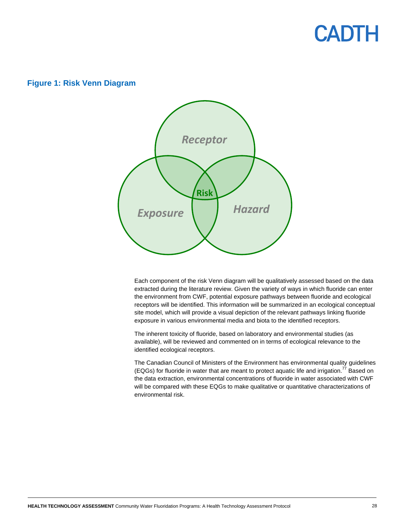#### **Figure 1: Risk Venn Diagram**



Each component of the risk Venn diagram will be qualitatively assessed based on the data extracted during the literature review. Given the variety of ways in which fluoride can enter the environment from CWF, potential exposure pathways between fluoride and ecological receptors will be identified. This information will be summarized in an ecological conceptual site model, which will provide a visual depiction of the relevant pathways linking fluoride exposure in various environmental media and biota to the identified receptors.

The inherent toxicity of fluoride, based on laboratory and environmental studies (as available), will be reviewed and commented on in terms of ecological relevance to the identified ecological receptors.

The Canadian Council of Ministers of the Environment has environmental quality guidelines (EQGs) for fluoride in water that are meant to protect aquatic life and irrigation.<sup>77</sup> Based on the data extraction, environmental concentrations of fluoride in water associated with CWF will be compared with these EQGs to make qualitative or quantitative characterizations of environmental risk.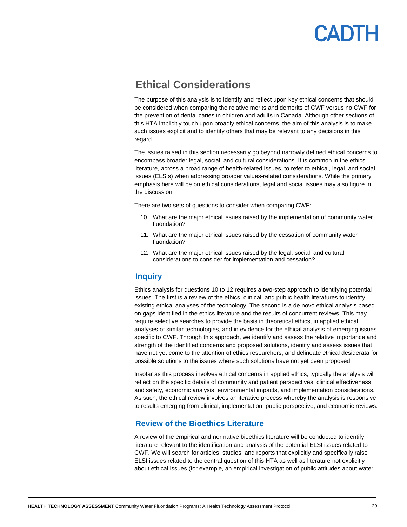### <span id="page-28-0"></span>**Ethical Considerations**

The purpose of this analysis is to identify and reflect upon key ethical concerns that should be considered when comparing the relative merits and demerits of CWF versus no CWF for the prevention of dental caries in children and adults in Canada. Although other sections of this HTA implicitly touch upon broadly ethical concerns, the aim of this analysis is to make such issues explicit and to identify others that may be relevant to any decisions in this regard.

The issues raised in this section necessarily go beyond narrowly defined ethical concerns to encompass broader legal, social, and cultural considerations. It is common in the ethics literature, across a broad range of health-related issues, to refer to ethical, legal, and social issues (ELSIs) when addressing broader values-related considerations. While the primary emphasis here will be on ethical considerations, legal and social issues may also figure in the discussion.

There are two sets of questions to consider when comparing CWF:

- 10. What are the major ethical issues raised by the implementation of community water fluoridation?
- 11. What are the major ethical issues raised by the cessation of community water fluoridation?
- 12. What are the major ethical issues raised by the legal, social, and cultural considerations to consider for implementation and cessation?

#### <span id="page-28-1"></span>**Inquiry**

Ethics analysis for questions 10 to 12 requires a two-step approach to identifying potential issues. The first is a review of the ethics, clinical, and public health literatures to identify existing ethical analyses of the technology. The second is a de novo ethical analysis based on gaps identified in the ethics literature and the results of concurrent reviews. This may require selective searches to provide the basis in theoretical ethics, in applied ethical analyses of similar technologies, and in evidence for the ethical analysis of emerging issues specific to CWF. Through this approach, we identify and assess the relative importance and strength of the identified concerns and proposed solutions, identify and assess issues that have not yet come to the attention of ethics researchers, and delineate ethical desiderata for possible solutions to the issues where such solutions have not yet been proposed.

Insofar as this process involves ethical concerns in applied ethics, typically the analysis will reflect on the specific details of community and patient perspectives, clinical effectiveness and safety, economic analysis, environmental impacts, and implementation considerations. As such, the ethical review involves an iterative process whereby the analysis is responsive to results emerging from clinical, implementation, public perspective, and economic reviews.

#### <span id="page-28-2"></span>**Review of the Bioethics Literature**

A review of the empirical and normative bioethics literature will be conducted to identify literature relevant to the identification and analysis of the potential ELSI issues related to CWF. We will search for articles, studies, and reports that explicitly and specifically raise ELSI issues related to the central question of this HTA as well as literature not explicitly about ethical issues (for example, an empirical investigation of public attitudes about water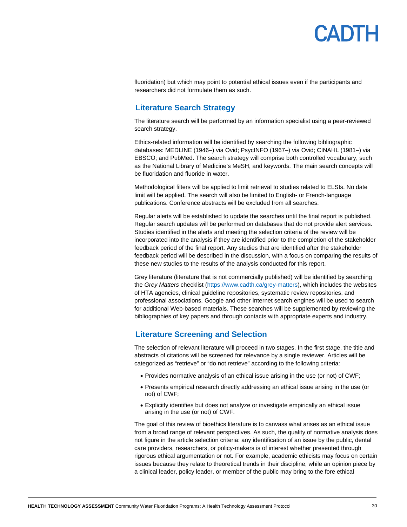

fluoridation) but which may point to potential ethical issues even if the participants and researchers did not formulate them as such.

### <span id="page-29-0"></span>**Literature Search Strategy**

The literature search will be performed by an information specialist using a peer-reviewed search strategy.

Ethics-related information will be identified by searching the following bibliographic databases: MEDLINE (1946–) via Ovid; PsycINFO (1967–) via Ovid; CINAHL (1981–) via EBSCO; and PubMed. The search strategy will comprise both controlled vocabulary, such as the National Library of Medicine's MeSH, and keywords. The main search concepts will be fluoridation and fluoride in water.

Methodological filters will be applied to limit retrieval to studies related to ELSIs. No date limit will be applied. The search will also be limited to English- or French-language publications. Conference abstracts will be excluded from all searches.

Regular alerts will be established to update the searches until the final report is published. Regular search updates will be performed on databases that do not provide alert services. Studies identified in the alerts and meeting the selection criteria of the review will be incorporated into the analysis if they are identified prior to the completion of the stakeholder feedback period of the final report. Any studies that are identified after the stakeholder feedback period will be described in the discussion, with a focus on comparing the results of these new studies to the results of the analysis conducted for this report.

Grey literature (literature that is not commercially published) will be identified by searching the *Grey Matters* checklist [\(https://www.cadth.ca/grey-matters\)](https://www.cadth.ca/grey-matters), which includes the websites of HTA agencies, clinical guideline repositories, systematic review repositories, and professional associations. Google and other Internet search engines will be used to search for additional Web-based materials. These searches will be supplemented by reviewing the bibliographies of key papers and through contacts with appropriate experts and industry.

### <span id="page-29-1"></span>**Literature Screening and Selection**

The selection of relevant literature will proceed in two stages. In the first stage, the title and abstracts of citations will be screened for relevance by a single reviewer. Articles will be categorized as "retrieve" or "do not retrieve" according to the following criteria:

- Provides normative analysis of an ethical issue arising in the use (or not) of CWF;
- Presents empirical research directly addressing an ethical issue arising in the use (or not) of CWF;
- Explicitly identifies but does not analyze or investigate empirically an ethical issue arising in the use (or not) of CWF.

The goal of this review of bioethics literature is to canvass what arises as an ethical issue from a broad range of relevant perspectives. As such, the quality of normative analysis does not figure in the article selection criteria: any identification of an issue by the public, dental care providers, researchers, or policy-makers is of interest whether presented through rigorous ethical argumentation or not. For example, academic ethicists may focus on certain issues because they relate to theoretical trends in their discipline, while an opinion piece by a clinical leader, policy leader, or member of the public may bring to the fore ethical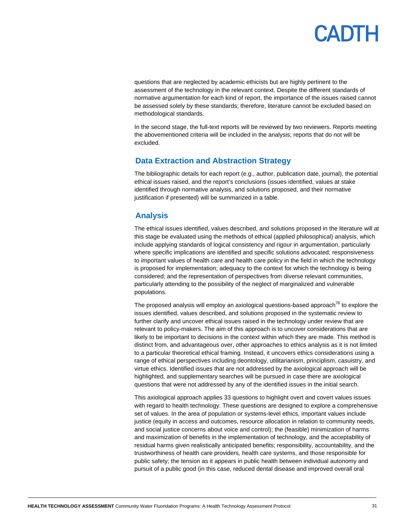questions that are neglected by academic ethicists but are highly pertinent to the assessment of the technology in the relevant context. Despite the different standards of normative argumentation for each kind of report, the importance of the issues raised cannot be assessed solely by these standards; therefore, literature cannot be excluded based on methodological standards.

In the second stage, the full-text reports will be reviewed by two reviewers. Reports meeting the abovementioned criteria will be included in the analysis; reports that do not will be excluded.

### <span id="page-30-0"></span>**Data Extraction and Abstraction Strategy**

The bibliographic details for each report (e.g., author, publication date, journal), the potential ethical issues raised, and the report's conclusions (issues identified, values at stake identified through normative analysis, and solutions proposed, and their normative justification if presented) will be summarized in a table.

### <span id="page-30-1"></span>**Analysis**

The ethical issues identified, values described, and solutions proposed in the literature will at this stage be evaluated using the methods of ethical (applied philosophical) analysis, which include applying standards of logical consistency and rigour in argumentation, particularly where specific implications are identified and specific solutions advocated; responsiveness to important values of health care and health care policy in the field in which the technology is proposed for implementation; adequacy to the context for which the technology is being considered; and the representation of perspectives from diverse relevant communities, particularly attending to the possibility of the neglect of marginalized and vulnerable populations.

The proposed analysis will employ an axiological questions-based approach<sup>78</sup> to explore the issues identified, values described, and solutions proposed in the systematic review to further clarify and uncover ethical issues raised in the technology under review that are relevant to policy-makers. The aim of this approach is to uncover considerations that are likely to be important to decisions in the context within which they are made. This method is distinct from, and advantageous over, other approaches to ethics analysis as it is not limited to a particular theoretical ethical framing. Instead, it uncovers ethics considerations using a range of ethical perspectives including deontology, utilitarianism, principlism, casuistry, and virtue ethics. Identified issues that are not addressed by the axiological approach will be highlighted, and supplementary searches will be pursued in case there are axiological questions that were not addressed by any of the identified issues in the initial search.

This axiological approach applies 33 questions to highlight overt and covert values issues with regard to health technology. These questions are designed to explore a comprehensive set of values. In the area of population or systems-level ethics, important values include justice (equity in access and outcomes, resource allocation in relation to community needs, and social justice concerns about voice and control); the (feasible) minimization of harms and maximization of benefits in the implementation of technology, and the acceptability of residual harms given realistically anticipated benefits; responsibility, accountability, and the trustworthiness of health care providers, health care systems, and those responsible for public safety; the tension as it appears in public health between individual autonomy and pursuit of a public good (in this case, reduced dental disease and improved overall oral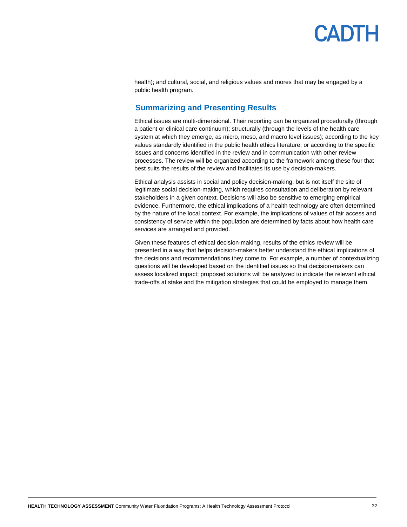health); and cultural, social, and religious values and mores that may be engaged by a public health program.

### <span id="page-31-0"></span>**Summarizing and Presenting Results**

Ethical issues are multi-dimensional. Their reporting can be organized procedurally (through a patient or clinical care continuum); structurally (through the levels of the health care system at which they emerge, as micro, meso, and macro level issues); according to the key values standardly identified in the public health ethics literature; or according to the specific issues and concerns identified in the review and in communication with other review processes. The review will be organized according to the framework among these four that best suits the results of the review and facilitates its use by decision-makers.

Ethical analysis assists in social and policy decision-making, but is not itself the site of legitimate social decision-making, which requires consultation and deliberation by relevant stakeholders in a given context. Decisions will also be sensitive to emerging empirical evidence. Furthermore, the ethical implications of a health technology are often determined by the nature of the local context. For example, the implications of values of fair access and consistency of service within the population are determined by facts about how health care services are arranged and provided.

Given these features of ethical decision-making, results of the ethics review will be presented in a way that helps decision-makers better understand the ethical implications of the decisions and recommendations they come to. For example, a number of contextualizing questions will be developed based on the identified issues so that decision-makers can assess localized impact; proposed solutions will be analyzed to indicate the relevant ethical trade-offs at stake and the mitigation strategies that could be employed to manage them.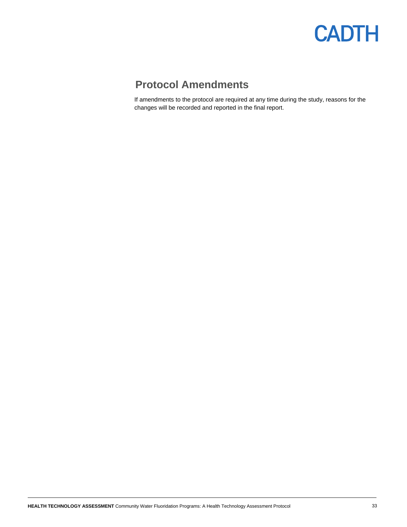

### <span id="page-32-0"></span>**Protocol Amendments**

If amendments to the protocol are required at any time during the study, reasons for the changes will be recorded and reported in the final report.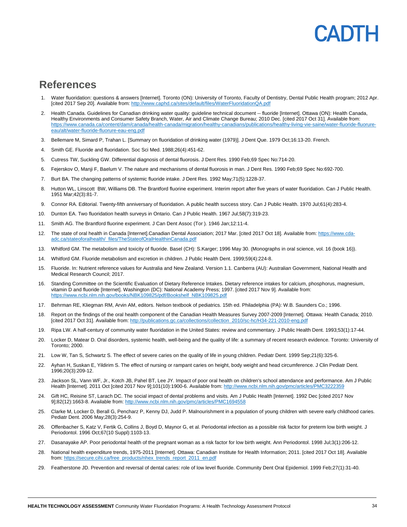## **ANTE**

### <span id="page-33-0"></span>**References**

- 1. Water fluoridation: questions & answers [Internet]. Toronto (ON): University of Toronto, Faculty of Dentistry, Dental Public Health program; 2012 Apr. [cited 2017 Sep 20]. Available from[: http://www.caphd.ca/sites/default/files/WaterFluoridationQA.pdf](http://www.caphd.ca/sites/default/files/WaterFluoridationQA.pdf)
- 2. Health Canada. Guidelines for Canadian drinking water quality: guideline technical document -- fluoride [Internet]. Ottawa (ON): Health Canada, Healthy Environments and Consumer Safety Branch, Water, Air and Climate Change Bureau; 2010 Dec. [cited 2017 Oct 31]. Available from: [https://www.canada.ca/content/dam/canada/health-canada/migration/healthy-canadians/publications/healthy-living-vie-saine/water-fluoride-fluorure](https://www.canada.ca/content/dam/canada/health-canada/migration/healthy-canadians/publications/healthy-living-vie-saine/water-fluoride-fluorure-eau/alt/water-fluoride-fluorure-eau-eng.pdf)[eau/alt/water-fluoride-fluorure-eau-eng.pdf](https://www.canada.ca/content/dam/canada/health-canada/migration/healthy-canadians/publications/healthy-living-vie-saine/water-fluoride-fluorure-eau/alt/water-fluoride-fluorure-eau-eng.pdf)
- 3. Bellemare M, Simard P, Trahan L. [Summary on fluoridation of drinking water (1979)]. J Dent Que. 1979 Oct;16:13-20. French.
- 4. Smith GE. Fluoride and fluoridation. Soc Sci Med. 1988;26(4):451-62.
- 5. Cutress TW, Suckling GW. Differential diagnosis of dental fluorosis. J Dent Res. 1990 Feb;69 Spec No:714-20.
- 6. Fejerskov O, Manji F, Baelum V. The nature and mechanisms of dental fluorosis in man. J Dent Res. 1990 Feb;69 Spec No:692-700.
- 7. Burt BA. The changing patterns of systemic fluoride intake. J Dent Res. 1992 May;71(5):1228-37.
- 8. Hutton WL, Linscott BW, Williams DB. The Brantford fluorine experiment. Interim report after five years of water fluoridation. Can J Public Health. 1951 Mar;42(3):81-7.
- 9. Connor RA. Editorial. Twenty-fifth anniversary of fluoridation. A public health success story. Can J Public Health. 1970 Jul;61(4):283-4.
- 10. Dunton EA. Two fluoridation health surveys in Ontario. Can J Public Health. 1967 Jul;58(7):319-23.
- 11. Smith AG. The Brantford fluorine experiment. J Can Dent Assoc (Tor ). 1946 Jan;12:11-4.
- 12. The state of oral health in Canada [Internet].Canadian Dental Association; 2017 Mar. [cited 2017 Oct 18]. Available from: [https://www.cda](https://www.cda-adc.ca/stateoforalhealth/_files/TheStateofOralHealthinCanada.pdf)[adc.ca/stateoforalhealth/\\_files/TheStateofOralHealthinCanada.pdf](https://www.cda-adc.ca/stateoforalhealth/_files/TheStateofOralHealthinCanada.pdf)
- 13. Whitford GM. The metabolism and toxicity of fluoride. Basel (CH): S.Karger; 1996 May 30. (Monographs in oral science, vol. 16 (book 16)).
- 14. Whitford GM. Fluoride metabolism and excretion in children. J Public Health Dent. 1999;59(4):224-8.
- 15. Fluoride. In: Nutrient reference values for Australia and New Zealand. Version 1.1. Canberra (AU): Australian Government, National Health and Medical Research Council; 2017.
- 16. Standing Committee on the Scientific Evaluation of Dietary Reference Intakes. Dietary reference intakes for calcium, phosphorus, magnesium, vitamin D and fluoride [Internet]. Washington (DC): National Academy Press; 1997. [cited 2017 Nov 9]. Available from: [https://www.ncbi.nlm.nih.gov/books/NBK109825/pdf/Bookshelf\\_NBK109825.pdf](https://www.ncbi.nlm.nih.gov/books/NBK109825/pdf/Bookshelf_NBK109825.pdf)
- 17. Behrman RE, Kliegman RM, Arvin AM, editors. Nelson textbook of pediatrics. 15th ed. Philadelphia (PA): W.B. Saunders Co.; 1996.
- 18. Report on the findings of the oral health component of the Canadian Health Measures Survey 2007-2009 [Internet]. Ottawa: Health Canada; 2010. [cited 2017 Oct 31]. Available from: [http://publications.gc.ca/collections/collection\\_2010/sc-hc/H34-221-2010-eng.pdf](http://publications.gc.ca/collections/collection_2010/sc-hc/H34-221-2010-eng.pdf)
- 19. Ripa LW. A half-century of community water fluoridation in the United States: review and commentary. J Public Health Dent. 1993;53(1):17-44.
- 20. Locker D, Matear D. Oral disorders, systemic health, well-being and the quality of life: a summary of recent research evidence. Toronto: University of Toronto; 2000.
- 21. Low W, Tan S, Schwartz S. The effect of severe caries on the quality of life in young children. Pediatr Dent. 1999 Sep;21(6):325-6.
- 22. Ayhan H, Suskan E, Yildirim S. The effect of nursing or rampant caries on height, body weight and head circumference. J Clin Pediatr Dent. 1996;20(3):209-12.
- 23. Jackson SL, Vann WF, Jr., Kotch JB, Pahel BT, Lee JY. Impact of poor oral health on children's school attendance and performance. Am J Public Health [Internet]. 2011 Oct [cited 2017 Nov 9];101(10):1900-6. Available from: http://www.ncbi.nlm.nih.gov/pmc/articles/PMC3222355
- 24. Gift HC, Reisine ST, Larach DC. The social impact of dental problems and visits. Am J Public Health [Internet]. 1992 Dec [cited 2017 Nov 9];82(12):1663-8. Available from[: http://www.ncbi.nlm.nih.gov/pmc/articles/PMC1694558](http://www.ncbi.nlm.nih.gov/pmc/articles/PMC1694558)
- 25. Clarke M, Locker D, Berall G, Pencharz P, Kenny DJ, Judd P. Malnourishment in a population of young children with severe early childhood caries. Pediatr Dent. 2006 May;28(3):254-9.
- 26. Offenbacher S, Katz V, Fertik G, Collins J, Boyd D, Maynor G, et al. Periodontal infection as a possible risk factor for preterm low birth weight. J Periodontol. 1996 Oct;67(10 Suppl):1103-13.
- 27. Dasanayake AP. Poor periodontal health of the pregnant woman as a risk factor for low birth weight. Ann Periodontol. 1998 Jul;3(1):206-12.
- 28. National health expenditure trends, 1975-2011 [Internet]. Ottawa: Canadian Institute for Health Information; 2011. [cited 2017 Oct 18]. Available from[: https://secure.cihi.ca/free\\_products/nhex\\_trends\\_report\\_2011\\_en.pdf](https://secure.cihi.ca/free_products/nhex_trends_report_2011_en.pdf)
- 29. Featherstone JD. Prevention and reversal of dental caries: role of low level fluoride. Community Dent Oral Epidemiol. 1999 Feb;27(1):31-40.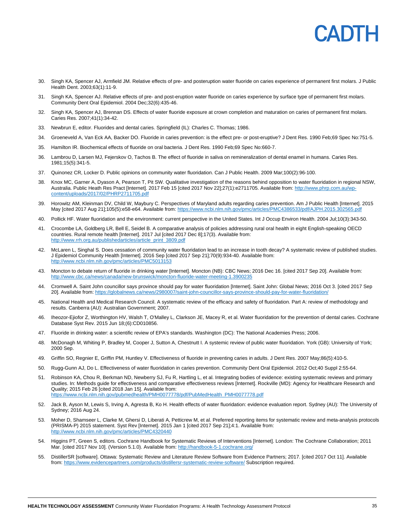- 30. Singh KA, Spencer AJ, Armfield JM. Relative effects of pre- and posteruption water fluoride on caries experience of permanent first molars. J Public Health Dent. 2003;63(1):11-9.
- 31. Singh KA, Spencer AJ. Relative effects of pre- and post-eruption water fluoride on caries experience by surface type of permanent first molars. Community Dent Oral Epidemiol. 2004 Dec;32(6):435-46.
- 32. Singh KA, Spencer AJ, Brennan DS. Effects of water fluoride exposure at crown completion and maturation on caries of permanent first molars. Caries Res. 2007;41(1):34-42.
- 33. Newbrun E, editor. Fluorides and dental caries. Springfield (IL): Charles C. Thomas; 1986.
- 34. Groeneveld A, Van Eck AA, Backer DO. Fluoride in caries prevention: is the effect pre- or post-eruptive? J Dent Res. 1990 Feb;69 Spec No:751-5.
- 35. Hamilton IR. Biochemical effects of fluoride on oral bacteria. J Dent Res. 1990 Feb;69 Spec No:660-7.
- 36. Lambrou D, Larsen MJ, Fejerskov O, Tachos B. The effect of fluoride in saliva on remineralization of dental enamel in humans. Caries Res. 1981;15(5):341-5.
- 37. Quinonez CR, Locker D. Public opinions on community water fluoridation. Can J Public Health. 2009 Mar;100(2):96-100.
- 38. Knox MC, Garner A, Dyason A, Pearson T, Pit SW. Qualitative investigation of the reasons behind opposition to water fluoridation in regional NSW, Australia. Public Heath Res Pract [Internet]. 2017 Feb 15 [cited 2017 Nov 22];27(1):e2711705. Available from[: http://www.phrp.com.au/wp](http://www.phrp.com.au/wp-content/uploads/2017/02/PHRP2711705.pdf)[content/uploads/2017/02/PHRP2711705.pdf](http://www.phrp.com.au/wp-content/uploads/2017/02/PHRP2711705.pdf)
- 39. Horowitz AM, Kleinman DV, Child W, Maybury C. Perspectives of Maryland adults regarding caries prevention. Am J Public Health [Internet]. 2015 May [cited 2017 Aug 21];105(5):e58-e64. Available from[: https://www.ncbi.nlm.nih.gov/pmc/articles/PMC4386533/pdf/AJPH.2015.302565.pdf](https://www.ncbi.nlm.nih.gov/pmc/articles/PMC4386533/pdf/AJPH.2015.302565.pdf)
- 40. Pollick HF. Water fluoridation and the environment: current perspective in the United States. Int J Occup Environ Health. 2004 Jul;10(3):343-50.
- 41. Crocombe LA, Goldberg LR, Bell E, Seidel B. A comparative analysis of policies addressing rural oral health in eight English-speaking OECD countries. Rural remote health [Internet]. 2017 Jul [cited 2017 Dec 8];17(3). Available from: [http://www.rrh.org.au/publishedarticles/article\\_print\\_3809.pdf](http://www.rrh.org.au/publishedarticles/article_print_3809.pdf)
- 42. McLaren L, Singhal S. Does cessation of community water fluoridation lead to an increase in tooth decay? A systematic review of published studies. J Epidemiol Community Health [Internet]. 2016 Sep [cited 2017 Sep 21];70(9):934-40. Available from: <http://www.ncbi.nlm.nih.gov/pmc/articles/PMC5013153>
- 43. Moncton to debate return of fluoride in drinking water [Internet]. Moncton (NB): CBC News; 2016 Dec 16. [cited 2017 Sep 20]. Available from: <http://www.cbc.ca/news/canada/new-brunswick/moncton-fluoride-water-meeting-1.3900235>
- 44. Cromwell A. Saint John councillor says province should pay for water fluoridation [Internet]. Saint John: Global News; 2016 Oct 3. [cited 2017 Sep 20]. Available from[: https://globalnews.ca/news/2980007/saint-john-councillor-says-province-should-pay-for-water-fluoridation/](https://globalnews.ca/news/2980007/saint-john-councillor-says-province-should-pay-for-water-fluoridation/)
- 45. National Health and Medical Research Council. A systematic review of the efficacy and safety of fluoridation. Part A: review of methodology and results. Canberra (AU): Australian Government; 2007.
- 46. Iheozor-Ejiofor Z, Worthington HV, Walsh T, O'Malley L, Clarkson JE, Macey R, et al. Water fluoridation for the prevention of dental caries. Cochrane Database Syst Rev. 2015 Jun 18;(6):CD010856.
- 47. Fluoride in drinking water: a scientific review of EPA's standards. Washington (DC): The National Academies Press; 2006.
- 48. McDonagh M, Whiting P, Bradley M, Cooper J, Sutton A, Chestnutt I. A systemic review of public water fluoridation. York (GB): University of York; 2000 Sep.
- 49. Griffin SO, Regnier E, Griffin PM, Huntley V. Effectiveness of fluoride in preventing caries in adults. J Dent Res. 2007 May;86(5):410-5.
- 50. Rugg-Gunn AJ, Do L. Effectiveness of water fluoridation in caries prevention. Community Dent Oral Epidemiol. 2012 Oct;40 Suppl 2:55-64.
- 51. Robinson KA, Chou R, Berkman ND, Newberry SJ, Fu R, Hartling L, et al. Integrating bodies of evidence: existing systematic reviews and primary studies. In: Methods guide for effectiveness and comparative effectiveness reviews [Internet]. Rockville (MD): Agency for Healthcare Research and Quality; 2015 Feb 26 [cited 2018 Jan 15]. Available from: [https://www.ncbi.nlm.nih.gov/pubmedhealth/PMH0077778/pdf/PubMedHealth\\_PMH0077778.pdf](https://www.ncbi.nlm.nih.gov/pubmedhealth/PMH0077778/pdf/PubMedHealth_PMH0077778.pdf)
- 52. Jack B, Ayson M, Lewis S, Irving A, Agresta B, Ko H. Health effects of water fluoridation: evidence evaluation report. Sydney (AU): The University of Sydney; 2016 Aug 24.
- 53. Moher D, Shamseer L, Clarke M, Ghersi D, Liberati A, Petticrew M, et al. Preferred reporting items for systematic review and meta-analysis protocols (PRISMA-P) 2015 statement. Syst Rev [Internet]. 2015 Jan 1 [cited 2017 Sep 21];4:1. Available from: <http://www.ncbi.nlm.nih.gov/pmc/articles/PMC4320440>
- 54. Higgins PT, Green S, editors. Cochrane Handbook for Systematic Reviews of Interventions [Internet]. London: The Cochrane Collaboration; 2011 Mar. [cited 2017 Nov 10]. (Version 5.1.0). Available from:<http://handbook-5-1.cochrane.org/>
- 55. DistillerSR [software]. Ottawa: Systematic Review and Literature Review Software from Evidence Partners; 2017. [cited 2017 Oct 11]. Available from[: https://www.evidencepartners.com/products/distillersr-systematic-review-software/](https://www.evidencepartners.com/products/distillersr-systematic-review-software/) Subscription required.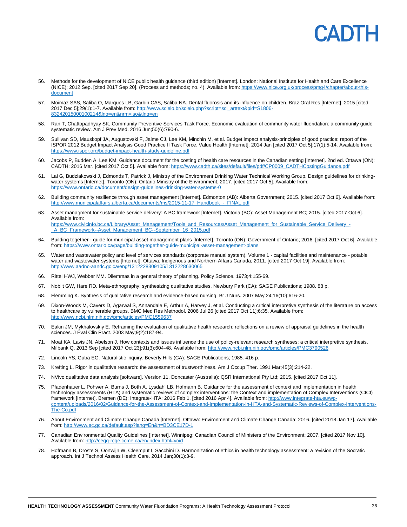- 56. Methods for the development of NICE public health guidance (third edition) [Internet]. London: National Institute for Health and Care Excellence (NICE); 2012 Sep. [cited 2017 Sep 20]. (Process and methods; no. 4). Available from[: https://www.nice.org.uk/process/pmg4/chapter/about-this](https://www.nice.org.uk/process/pmg4/chapter/about-this-document)[document](https://www.nice.org.uk/process/pmg4/chapter/about-this-document)
- 57. Moimaz SAS, Saliba O, Marques LB, Garbin CAS, Saliba NA. Dental fluorosis and its influence on children. Braz Oral Res [Internet]. 2015 [cited 2017 Dec 5];29(1):1-7. Available from: [http://www.scielo.br/scielo.php?script=sci\\_arttext&pid=S1806-](http://www.scielo.br/scielo.php?script=sci_arttext&pid=S1806-83242015000100214&lng=en&nrm=iso&tlng=en) [83242015000100214&lng=en&nrm=iso&tlng=en](http://www.scielo.br/scielo.php?script=sci_arttext&pid=S1806-83242015000100214&lng=en&nrm=iso&tlng=en)
- 58. Ran T, Chattopadhyay SK, Community Preventive Services Task Force. Economic evaluation of community water fluoridation: a community guide systematic review. Am J Prev Med. 2016 Jun;50(6):790-6.
- 59. Sullivan SD, Mauskopf JA, Augustovski F, Jaime CJ, Lee KM, Minchin M, et al. Budget impact analysis-principles of good practice: report of the ISPOR 2012 Budget Impact Analysis Good Practice II Task Force. Value Health [Internet]. 2014 Jan [cited 2017 Oct 5];17(1):5-14. Available from: <https://www.ispor.org/budget-impact-health-study-guideline.pdf>
- 60. Jacobs P, Budden A, Lee KM. Guidance document for the costing of health care resources in the Canadian setting [Internet]. 2nd ed. Ottawa (ON): CADTH; 2016 Mar. [cited 2017 Oct 5]. Available from[: https://www.cadth.ca/sites/default/files/pdf/CP0009\\_CADTHCostingGuidance.pdf](https://www.cadth.ca/sites/default/files/pdf/CP0009_CADTHCostingGuidance.pdf)
- 61. Lai G, Budziakowski J, Edmonds T, Patrick J, Ministry of the Environment Drinking Water Technical Working Group. Design guidelines for drinkingwater systems [Internet]. Toronto (ON): Ontario Ministry of the Environment; 2017. [cited 2017 Oct 5]. Available from: <https://www.ontario.ca/document/design-guidelines-drinking-water-systems-0>
- 62. Building community resilience through asset management [Internet]. Edmonton (AB): Alberta Government; 2015. [cited 2017 Oct 6]. Available from: alaffairs.alberta.ca/documents/ms/2015-11-17\_Handbook\_-\_FINAL.pdf
- 63. Asset managment for sustainable service delivery: A BC framework [Internet]. Victoria (BC): Asset Management BC; 2015. [cited 2017 Oct 6]. Available from: [https://www.civicinfo.bc.ca/Library/Asset\\_Management/Tools\\_and\\_Resources/Asset\\_Management\\_for\\_Sustainable\\_Service\\_Delivery\\_-](https://www.civicinfo.bc.ca/Library/Asset_Management/Tools_and_Resources/Asset_Management_for_Sustainable_Service_Delivery_-_A_BC_Framework--Asset_Management_BC--September_16_2015.pdf) [\\_A\\_BC\\_Framework--Asset\\_Management\\_BC--September\\_16\\_2015.pdf](https://www.civicinfo.bc.ca/Library/Asset_Management/Tools_and_Resources/Asset_Management_for_Sustainable_Service_Delivery_-_A_BC_Framework--Asset_Management_BC--September_16_2015.pdf)
- 64. Building together guide for municipal asset management plans [Internet]. Toronto (ON): Government of Ontario; 2016. [cited 2017 Oct 6]. Available from[: https://www.ontario.ca/page/building-together-guide-municipal-asset-management-plans](https://www.ontario.ca/page/building-together-guide-municipal-asset-management-plans)
- 65. Water and wastewater policy and level of services standards (corporate manual system). Volume 1 capital facilities and maintenance potable water and wastewater systems [Internet]. Ottawa: Indigenous and Northern Affairs Canada; 2011. [cited 2017 Oct 19]. Available from: <http://www.aadnc-aandc.gc.ca/eng/1312228309105/1312228630065>
- 66. Rittel HWJ, Webber MM. Dilemmas in a general theory of planning. Policy Science. 1973;4:155-69.
- 67. Noblit GW, Hare RD. Meta-ethnography: synthesizing qualitative studies. Newbury Park (CA): SAGE Publications; 1988. 88 p.
- 68. Flemming K. Synthesis of qualitative research and evidence-based nursing. Br J Nurs. 2007 May 24;16(10):616-20.
- 69. Dixon-Woods M, Cavers D, Agarwal S, Annandale E, Arthur A, Harvey J, et al. Conducting a critical interpretive synthesis of the literature on access to healthcare by vulnerable groups. BMC Med Res Methodol. 2006 Jul 26 [cited 2017 Oct 11];6:35. Available from: <http://www.ncbi.nlm.nih.gov/pmc/articles/PMC1559637>
- 70. Eakin JM, Mykhalovskiy E. Reframing the evaluation of qualitative health research: reflections on a review of appraisal guidelines in the health sciences. J Eval Clin Pract. 2003 May;9(2):187-94.
- 71. Moat KA, Lavis JN, Abelson J. How contexts and issues influence the use of policy-relevant research syntheses: a critical interpretive synthesis. Milbank Q. 2013 Sep [cited 2017 Oct 23];91(3):604-48. Available from[: http://www.ncbi.nlm.nih.gov/pmc/articles/PMC3790526](http://www.ncbi.nlm.nih.gov/pmc/articles/PMC3790526)
- 72. Lincoln YS, Guba EG. Naturalistic inquiry. Beverly Hills (CA): SAGE Publications; 1985. 416 p.
- 73. Krefting L. Rigor in qualitative research: the assessment of trustworthiness. Am J Occup Ther. 1991 Mar;45(3):214-22.
- 74. NVivo qualitative data analysis [software]. Version 11. Doncaster (Australia): QSR International Pty Ltd; 2015. [cited 2017 Oct 11].
- 75. Pfadenhauer L, Pohwer A, Burns J, Both A, Lysdahl LB, Hofmann B. Guidance for the assessment of context and implementation in health technology assessments (HTA) and systematic reviews of complex interventions: the Context and implementation of Complex Interventions (CICI) framework [Internet]. Bremen (DE): Integrate-HTA; 2016 Feb 1. [cited 2016 Apr 4]. Available from: [http://www.integrate-hta.eu/wp](http://www.integrate-hta.eu/wp-content/uploads/2016/02/Guidance-for-the-Assessment-of-Context-and-Implementation-in-HTA-and-Systematic-Reviews-of-Complex-Interventions-The-Co.pdf)[content/uploads/2016/02/Guidance-for-the-Assessment-of-Context-and-Implementation-in-HTA-and-Systematic-Reviews-of-Complex-Interventions-](http://www.integrate-hta.eu/wp-content/uploads/2016/02/Guidance-for-the-Assessment-of-Context-and-Implementation-in-HTA-and-Systematic-Reviews-of-Complex-Interventions-The-Co.pdf)[The-Co.pdf](http://www.integrate-hta.eu/wp-content/uploads/2016/02/Guidance-for-the-Assessment-of-Context-and-Implementation-in-HTA-and-Systematic-Reviews-of-Complex-Interventions-The-Co.pdf)
- 76. About Environment and Climate Change Canada [Internet]. Ottawa: Environment and Climate Change Canada; 2016. [cited 2018 Jan 17]. Available from[: http://www.ec.gc.ca/default.asp?lang=En&n=BD3CE17D-1](http://www.ec.gc.ca/default.asp?lang=En&n=BD3CE17D-1)
- 77. Canadian Environmental Quality Guidelines [Internet]. Winnipeg: Canadian Council of Ministers of the Environment; 2007. [cited 2017 Nov 10]. Available from[: http://ceqg-rcqe.ccme.ca/en/index.html#void](http://ceqg-rcqe.ccme.ca/en/index.html#void)
- 78. Hofmann B, Droste S, Oortwijn W, Cleemput I, Sacchini D. Harmonization of ethics in health technology assessment: a revision of the Socratic approach. Int J Technol Assess Health Care. 2014 Jan;30(1):3-9.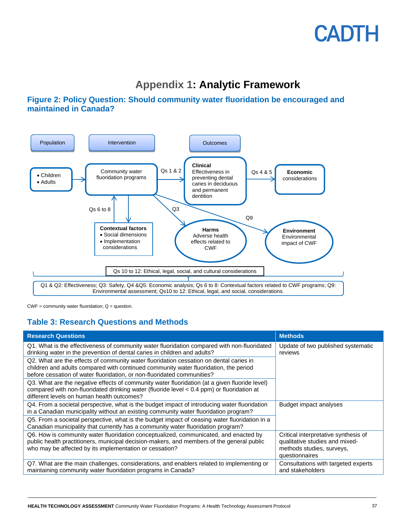### **Appendix 1: Analytic Framework**

### <span id="page-36-0"></span>**Figure 2: Policy Question: Should community water fluoridation be encouraged and maintained in Canada?**



 $CWF =$  community water fluoridation;  $Q =$  question.

### **Table 3: Research Questions and Methods**

| <b>Research Questions</b>                                                                                                                                                                                                                                 | <b>Methods</b>                                                                                                        |
|-----------------------------------------------------------------------------------------------------------------------------------------------------------------------------------------------------------------------------------------------------------|-----------------------------------------------------------------------------------------------------------------------|
| Q1. What is the effectiveness of community water fluoridation compared with non-fluoridated<br>drinking water in the prevention of dental caries in children and adults?                                                                                  | Update of two published systematic<br>reviews                                                                         |
| Q2. What are the effects of community water fluoridation cessation on dental caries in<br>children and adults compared with continued community water fluoridation, the period<br>before cessation of water fluoridation, or non-fluoridated communities? |                                                                                                                       |
| Q3. What are the negative effects of community water fluoridation (at a given fluoride level)<br>compared with non-fluoridated drinking water (fluoride level < 0.4 ppm) or fluoridation at<br>different levels on human health outcomes?                 |                                                                                                                       |
| Q4. From a societal perspective, what is the budget impact of introducing water fluoridation<br>in a Canadian municipality without an existing community water fluoridation program?                                                                      | Budget impact analyses                                                                                                |
| Q5. From a societal perspective, what is the budget impact of ceasing water fluoridation in a<br>Canadian municipality that currently has a community water fluoridation program?                                                                         |                                                                                                                       |
| Q6. How is community water fluoridation conceptualized, communicated, and enacted by<br>public health practitioners, municipal decision-makers, and members of the general public<br>who may be affected by its implementation or cessation?              | Critical interpretative synthesis of<br>qualitative studies and mixed-<br>methods studies, surveys,<br>questionnaires |
| Q7. What are the main challenges, considerations, and enablers related to implementing or<br>maintaining community water fluoridation programs in Canada?                                                                                                 | Consultations with targeted experts<br>and stakeholders                                                               |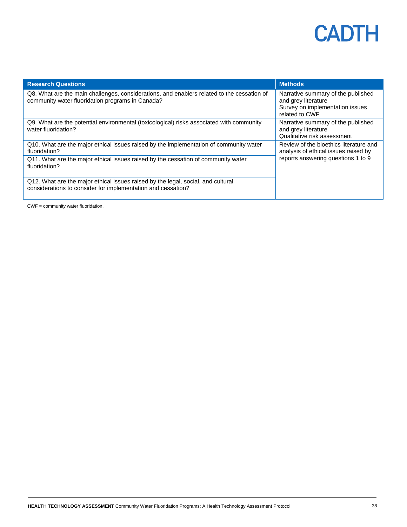| <b>Research Questions</b>                                                                                                                        | <b>Methods</b>                                                                                                 |  |
|--------------------------------------------------------------------------------------------------------------------------------------------------|----------------------------------------------------------------------------------------------------------------|--|
| Q8. What are the main challenges, considerations, and enablers related to the cessation of<br>community water fluoridation programs in Canada?   | Narrative summary of the published<br>and grey literature<br>Survey on implementation issues<br>related to CWF |  |
| Q9. What are the potential environmental (toxicological) risks associated with community<br>water fluoridation?                                  | Narrative summary of the published<br>and grey literature<br>Qualitative risk assessment                       |  |
| Q10. What are the major ethical issues raised by the implementation of community water<br>fluoridation?                                          | Review of the bioethics literature and<br>analysis of ethical issues raised by                                 |  |
| Q11. What are the major ethical issues raised by the cessation of community water<br>fluoridation?                                               | reports answering questions 1 to 9                                                                             |  |
| Q12. What are the major ethical issues raised by the legal, social, and cultural<br>considerations to consider for implementation and cessation? |                                                                                                                |  |

CWF = community water fluoridation.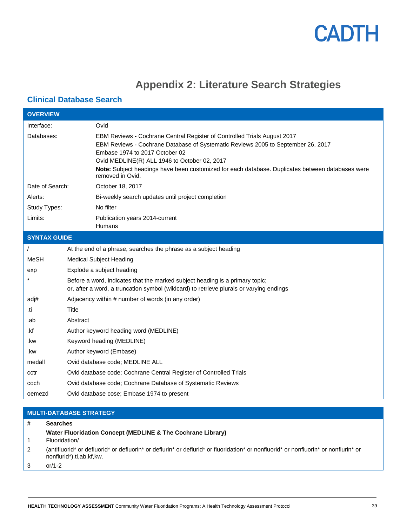### **Appendix 2: Literature Search Strategies**

### <span id="page-38-0"></span>**Clinical Database Search**

| <b>OVERVIEW</b>     |          |                                                                                                                                                                                                                                                                                                                                                                        |
|---------------------|----------|------------------------------------------------------------------------------------------------------------------------------------------------------------------------------------------------------------------------------------------------------------------------------------------------------------------------------------------------------------------------|
| Interface:          |          | Ovid                                                                                                                                                                                                                                                                                                                                                                   |
| Databases:          |          | EBM Reviews - Cochrane Central Register of Controlled Trials August 2017<br>EBM Reviews - Cochrane Database of Systematic Reviews 2005 to September 26, 2017<br>Embase 1974 to 2017 October 02<br>Ovid MEDLINE(R) ALL 1946 to October 02, 2017<br>Note: Subject headings have been customized for each database. Duplicates between databases were<br>removed in Ovid. |
| Date of Search:     |          | October 18, 2017                                                                                                                                                                                                                                                                                                                                                       |
| Alerts:             |          | Bi-weekly search updates until project completion                                                                                                                                                                                                                                                                                                                      |
| Study Types:        |          | No filter                                                                                                                                                                                                                                                                                                                                                              |
| Limits:             |          | Publication years 2014-current<br>Humans                                                                                                                                                                                                                                                                                                                               |
| <b>SYNTAX GUIDE</b> |          |                                                                                                                                                                                                                                                                                                                                                                        |
|                     |          | At the end of a phrase, searches the phrase as a subject heading                                                                                                                                                                                                                                                                                                       |
| MeSH                |          | <b>Medical Subject Heading</b>                                                                                                                                                                                                                                                                                                                                         |
| exp                 |          | Explode a subject heading                                                                                                                                                                                                                                                                                                                                              |
|                     |          | Before a word, indicates that the marked subject heading is a primary topic;<br>or, after a word, a truncation symbol (wildcard) to retrieve plurals or varying endings                                                                                                                                                                                                |
| adj#                |          | Adjacency within # number of words (in any order)                                                                                                                                                                                                                                                                                                                      |
| .ti                 | Title    |                                                                                                                                                                                                                                                                                                                                                                        |
| .ab                 | Abstract |                                                                                                                                                                                                                                                                                                                                                                        |
| .kf                 |          | Author keyword heading word (MEDLINE)                                                                                                                                                                                                                                                                                                                                  |
| .kw                 |          | Keyword heading (MEDLINE)                                                                                                                                                                                                                                                                                                                                              |
| .kw                 |          | Author keyword (Embase)                                                                                                                                                                                                                                                                                                                                                |
| medall              |          | Ovid database code; MEDLINE ALL                                                                                                                                                                                                                                                                                                                                        |
| cctr                |          | Ovid database code; Cochrane Central Register of Controlled Trials                                                                                                                                                                                                                                                                                                     |
| coch                |          | Ovid database code; Cochrane Database of Systematic Reviews                                                                                                                                                                                                                                                                                                            |
| oemezd              |          | Ovid database cose; Embase 1974 to present                                                                                                                                                                                                                                                                                                                             |
|                     |          |                                                                                                                                                                                                                                                                                                                                                                        |

#### **MULTI-DATABASE STRATEGY # Searches** 1 **Water Fluoridation Concept (MEDLINE & The Cochrane Library)** Fluoridation/ 2 (antifluorid\* or defluorid\* or defluorin\* or deflurin\* or deflurid\* or fluoridation\* or nonfluorid\* or nonfluorin\* or nonflurin\* or nonflurid\*).ti,ab,kf,kw. 3 or/1-2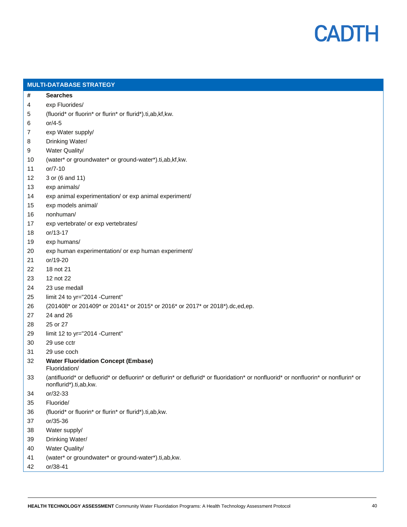

|    | <b>MULTI-DATABASE STRATEGY</b>                                                                                                                               |
|----|--------------------------------------------------------------------------------------------------------------------------------------------------------------|
| #  | <b>Searches</b>                                                                                                                                              |
| 4  | exp Fluorides/                                                                                                                                               |
| 5  | (fluorid* or fluorin* or flurin* or flurid*).ti,ab,kf,kw.                                                                                                    |
| 6  | $or/4-5$                                                                                                                                                     |
| 7  | exp Water supply/                                                                                                                                            |
| 8  | Drinking Water/                                                                                                                                              |
| 9  | Water Quality/                                                                                                                                               |
| 10 | (water* or groundwater* or ground-water*).ti,ab,kf,kw.                                                                                                       |
| 11 | $or/7-10$                                                                                                                                                    |
| 12 | 3 or (6 and 11)                                                                                                                                              |
| 13 | exp animals/                                                                                                                                                 |
| 14 | exp animal experimentation/ or exp animal experiment/                                                                                                        |
| 15 | exp models animal/                                                                                                                                           |
| 16 | nonhuman/                                                                                                                                                    |
| 17 | exp vertebrate/ or exp vertebrates/                                                                                                                          |
| 18 | or/13-17                                                                                                                                                     |
| 19 | exp humans/                                                                                                                                                  |
| 20 | exp human experimentation/ or exp human experiment/                                                                                                          |
| 21 | or/19-20                                                                                                                                                     |
| 22 | 18 not 21                                                                                                                                                    |
| 23 | 12 not 22                                                                                                                                                    |
| 24 | 23 use medall                                                                                                                                                |
| 25 | limit 24 to yr="2014 -Current"                                                                                                                               |
| 26 | (201408* or 201409* or 20141* or 2015* or 2016* or 2017* or 2018*).dc,ed,ep.                                                                                 |
| 27 | 24 and 26                                                                                                                                                    |
| 28 | 25 or 27                                                                                                                                                     |
| 29 | limit 12 to yr="2014 -Current"                                                                                                                               |
| 30 | 29 use cctr                                                                                                                                                  |
| 31 | 29 use coch                                                                                                                                                  |
| 32 | <b>Water Fluoridation Concept (Embase)</b><br>Fluoridation/                                                                                                  |
| 33 | (antifluorid* or defluorid* or defluorin* or deflurin* or deflurid* or fluoridation* or nonfluorid* or nonfluorin* or nonflurin* or<br>nonflurid*).ti,ab,kw. |
| 34 | or/32-33                                                                                                                                                     |
| 35 | Fluoride/                                                                                                                                                    |
| 36 | (fluorid* or fluorin* or flurin* or flurid*).ti,ab,kw.                                                                                                       |
| 37 | or/35-36                                                                                                                                                     |
| 38 | Water supply/                                                                                                                                                |
| 39 | Drinking Water/                                                                                                                                              |
| 40 | Water Quality/                                                                                                                                               |
| 41 | (water* or groundwater* or ground-water*).ti,ab,kw.                                                                                                          |
| 42 | or/38-41                                                                                                                                                     |
|    |                                                                                                                                                              |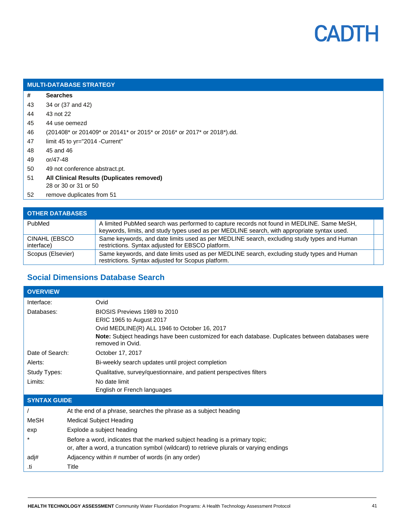

#### **MULTI-DATABASE STRATEGY**

- **# Searches**
- 43 34 or (37 and 42)
- 44 43 not 22
- 45 44 use oemezd
- 46 (201408\* or 201409\* or 20141\* or 2015\* or 2016\* or 2017\* or 2018\*).dd.
- 47 limit 45 to yr="2014 -Current"
- 48 45 and 46
- 49 or/47-48
- 50 49 not conference abstract.pt.
- 51 **All Clinical Results (Duplicates removed)** 28 or 30 or 31 or 50
- 52 remove duplicates from 51

| <b>OTHER DATABASES</b>      |                                                                                                                                                                                          |  |
|-----------------------------|------------------------------------------------------------------------------------------------------------------------------------------------------------------------------------------|--|
| PubMed                      | A limited PubMed search was performed to capture records not found in MEDLINE. Same MeSH,<br>keywords, limits, and study types used as per MEDLINE search, with appropriate syntax used. |  |
| CINAHL (EBSCO<br>interface) | Same keywords, and date limits used as per MEDLINE search, excluding study types and Human<br>restrictions. Syntax adjusted for EBSCO platform.                                          |  |
| Scopus (Elsevier)           | Same keywords, and date limits used as per MEDLINE search, excluding study types and Human<br>restrictions. Syntax adjusted for Scopus platform.                                         |  |

### **Social Dimensions Database Search**

| <b>OVERVIEW</b>     |                                                                                                                      |  |
|---------------------|----------------------------------------------------------------------------------------------------------------------|--|
| Interface:          | Ovid                                                                                                                 |  |
| Databases:          | BIOSIS Previews 1989 to 2010                                                                                         |  |
|                     | ERIC 1965 to August 2017                                                                                             |  |
|                     | Ovid MEDLINE(R) ALL 1946 to October 16, 2017                                                                         |  |
|                     | Note: Subject headings have been customized for each database. Duplicates between databases were<br>removed in Ovid. |  |
| Date of Search:     | October 17, 2017                                                                                                     |  |
| Alerts:             | Bi-weekly search updates until project completion                                                                    |  |
| Study Types:        | Qualitative, survey/questionnaire, and patient perspectives filters                                                  |  |
| Limits:             | No date limit                                                                                                        |  |
|                     | English or French languages                                                                                          |  |
| <b>SYNTAX GUIDE</b> |                                                                                                                      |  |
|                     | At the end of a phrase, searches the phrase as a subject heading                                                     |  |
| MeSH                | Medical Subject Heading                                                                                              |  |
| exp                 | Explode a subject heading                                                                                            |  |
|                     | Before a word, indicates that the marked subject heading is a primary topic;                                         |  |
|                     | or, after a word, a truncation symbol (wildcard) to retrieve plurals or varying endings                              |  |
| adj#                | Adjacency within # number of words (in any order)                                                                    |  |
| .ti                 | Title                                                                                                                |  |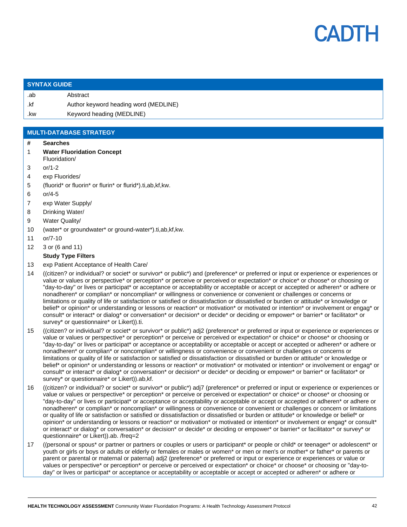

#### **SYNTAX GUIDE**

.ab Abstract .kf Author keyword heading word (MEDLINE) .kw Keyword heading (MEDLINE)

#### **MULTI-DATABASE STRATEGY**

#### **# Searches**

- 1 **Water Fluoridation Concept**
- Fluoridation/
- 3 or/1-2
- 4 exp Fluorides/
- 5 (fluorid\* or fluorin\* or flurin\* or flurid\*).ti,ab,kf,kw.
- 6 or/4-5
- 7 exp Water Supply/
- 8 Drinking Water/
- 9 Water Quality/
- 10 (water\* or groundwater\* or ground-water\*).ti,ab,kf,kw.
- 11 or/7-10
- 12 3 or (6 and 11)

#### **Study Type Filters**

- 13 exp Patient Acceptance of Health Care/
- 14 ((citizen? or individual? or societ\* or survivor\* or public\*) and (preference\* or preferred or input or experience or experiences or value or values or perspective\* or perception\* or perceive or perceived or expectation\* or choice\* or choose\* or choosing or "day-to-day" or lives or participat\* or acceptance or acceptability or acceptable or accept or accepted or adheren\* or adhere or nonadheren\* or complian\* or noncomplian\* or willingness or convenience or convenient or challenges or concerns or limitations or quality of life or satisfaction or satisfied or dissatisfaction or dissatisfied or burden or attitude\* or knowledge or belief\* or opinion\* or understanding or lessons or reaction\* or motivation\* or motivated or intention\* or involvement or engag\* or consult\* or interact\* or dialog\* or conversation\* or decision\* or decide\* or deciding or empower\* or barrier\* or facilitator\* or survey\* or questionnaire\* or Likert)).ti.
- 15 ((citizen? or individual? or societ\* or survivor\* or public\*) adj2 (preference\* or preferred or input or experience or experiences or value or values or perspective\* or perception\* or perceive or perceived or expectation\* or choice\* or choose\* or choosing or "day-to-day" or lives or participat\* or acceptance or acceptability or acceptable or accept or accepted or adheren\* or adhere or nonadheren\* or complian\* or noncomplian\* or willingness or convenience or convenient or challenges or concerns or limitations or quality of life or satisfaction or satisfied or dissatisfaction or dissatisfied or burden or attitude\* or knowledge or belief\* or opinion\* or understanding or lessons or reaction\* or motivation\* or motivated or intention\* or involvement or engag\* or consult\* or interact\* or dialog\* or conversation\* or decision\* or decide\* or deciding or empower\* or barrier\* or facilitator\* or survey\* or questionnaire\* or Likert)).ab,kf.
- 16 ((citizen? or individual? or societ\* or survivor\* or public\*) adj7 (preference\* or preferred or input or experience or experiences or value or values or perspective\* or perception\* or perceive or perceived or expectation\* or choice\* or choose\* or choosing or "day-to-day" or lives or participat\* or acceptance or acceptability or acceptable or accept or accepted or adheren\* or adhere or nonadheren\* or complian\* or noncomplian\* or willingness or convenience or convenient or challenges or concern or limitations or quality of life or satisfaction or satisfied or dissatisfaction or dissatisfied or burden or attitude\* or knowledge or belief\* or opinion\* or understanding or lessons or reaction\* or motivation\* or motivated or intention\* or involvement or engag\* or consult\* or interact\* or dialog\* or conversation\* or decision\* or decide\* or deciding or empower\* or barrier\* or facilitator\* or survey\* or questionnaire\* or Likert)).ab. /freq=2
- 17 ((personal or spous\* or partner or partners or couples or users or participant\* or people or child\* or teenager\* or adolescent\* or youth or girls or boys or adults or elderly or females or males or women\* or men or men's or mother\* or father\* or parents or parent or parental or maternal or paternal) adj2 (preference\* or preferred or input or experience or experiences or value or values or perspective\* or perception\* or perceive or perceived or expectation\* or choice\* or choose\* or choosing or "day-today" or lives or participat\* or acceptance or acceptability or acceptable or accept or accepted or adheren\* or adhere or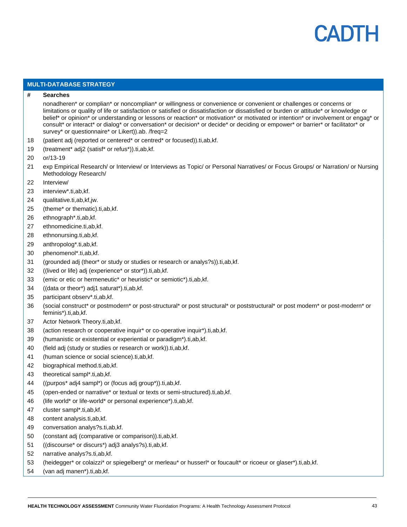

#### **MULTI-DATABASE STRATEGY**

#### **# Searches**

nonadheren\* or complian\* or noncomplian\* or willingness or convenience or convenient or challenges or concerns or limitations or quality of life or satisfaction or satisfied or dissatisfaction or dissatisfied or burden or attitude\* or knowledge or belief\* or opinion\* or understanding or lessons or reaction\* or motivation\* or motivated or intention\* or involvement or engag\* or consult\* or interact\* or dialog\* or conversation\* or decision\* or decide\* or deciding or empower\* or barrier\* or facilitator\* or survey\* or questionnaire\* or Likert)).ab. /freq=2

- (patient adj (reported or centered\* or centred\* or focused)).ti,ab,kf.
- (treatment\* adj2 (satisf\* or refus\*)).ti,ab,kf.
- or/13-19
- exp Empirical Research/ or Interview/ or Interviews as Topic/ or Personal Narratives/ or Focus Groups/ or Narration/ or Nursing Methodology Research/
- Interview/
- interview\*.ti,ab,kf.
- qualitative.ti,ab,kf,jw.
- (theme\* or thematic).ti,ab,kf.
- ethnograph\*.ti,ab,kf.
- ethnomedicine.ti,ab,kf.
- ethnonursing.ti,ab,kf.
- anthropolog\*.ti,ab,kf.
- phenomenol\*.ti,ab,kf.
- (grounded adj (theor\* or study or studies or research or analys?s)).ti,ab,kf.
- ((lived or life) adj (experience\* or stor\*)).ti,ab,kf.
- (emic or etic or hermeneutic\* or heuristic\* or semiotic\*).ti,ab,kf.
- ((data or theor\*) adj1 saturat\*).ti,ab,kf.
- participant observ\*.ti,ab,kf.
- (social construct\* or postmodern\* or post-structural\* or post structural\* or poststructural\* or post modern\* or post-modern\* or feminis\*).ti,ab,kf.
- Actor Network Theory.ti,ab,kf.
- (action research or cooperative inquir\* or co-operative inquir\*).ti,ab,kf.
- (humanistic or existential or experiential or paradigm\*).ti,ab,kf.
- (field adj (study or studies or research or work)).ti,ab,kf.
- (human science or social science).ti,ab,kf.
- biographical method.ti,ab,kf.
- theoretical sampl\*.ti,ab,kf.
- ((purpos\* adj4 sampl\*) or (focus adj group\*)).ti,ab,kf.
- (open-ended or narrative\* or textual or texts or semi-structured).ti,ab,kf.
- (life world\* or life-world\* or personal experience\*).ti,ab,kf.
- cluster sampl\*.ti,ab,kf.
- content analysis.ti,ab,kf.
- conversation analys?s.ti,ab,kf.
- (constant adj (comparative or comparison)).ti,ab,kf.
- ((discourse\* or discurs\*) adj3 analys?s).ti,ab,kf.
- narrative analys?s.ti,ab,kf.
- (heidegger\* or colaizzi\* or spiegelberg\* or merleau\* or husserl\* or foucault\* or ricoeur or glaser\*).ti,ab,kf.
- (van adj manen\*).ti,ab,kf.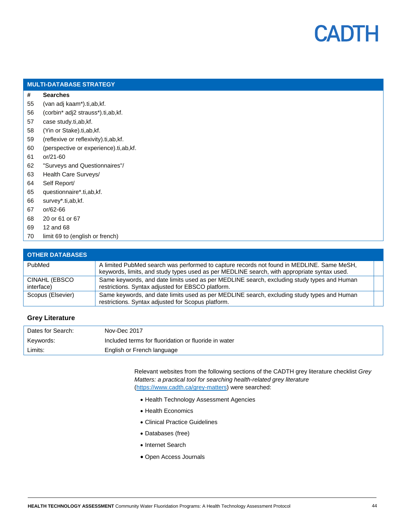

|    | <b>MULTI-DATABASE STRATEGY</b>        |  |  |  |
|----|---------------------------------------|--|--|--|
| #  | <b>Searches</b>                       |  |  |  |
| 55 | (van adj kaam*).ti, ab, kf.           |  |  |  |
| 56 | (corbin* adj2 strauss*).ti,ab,kf.     |  |  |  |
| 57 | case study.ti,ab,kf.                  |  |  |  |
| 58 | (Yin or Stake).ti,ab,kf.              |  |  |  |
| 59 | (reflexive or reflexivity).ti,ab,kf.  |  |  |  |
| 60 | (perspective or experience).ti,ab,kf. |  |  |  |
| 61 | or/21-60                              |  |  |  |
| 62 | "Surveys and Questionnaires"/         |  |  |  |
| 63 | Health Care Surveys/                  |  |  |  |
| 64 | Self Report/                          |  |  |  |
| 65 | questionnaire*.ti,ab,kf.              |  |  |  |
| 66 | survey*.ti,ab,kf.                     |  |  |  |
| 67 | or/62-66                              |  |  |  |
| 68 | 20 or 61 or 67                        |  |  |  |
| 69 | 12 and 68                             |  |  |  |
| 70 | limit 69 to (english or french)       |  |  |  |

| <b>OTHER DATABASES</b>      |                                                                                                                                                                                          |  |
|-----------------------------|------------------------------------------------------------------------------------------------------------------------------------------------------------------------------------------|--|
| PubMed                      | A limited PubMed search was performed to capture records not found in MEDLINE. Same MeSH,<br>keywords, limits, and study types used as per MEDLINE search, with appropriate syntax used. |  |
| CINAHL (EBSCO<br>interface) | Same keywords, and date limits used as per MEDLINE search, excluding study types and Human<br>restrictions. Syntax adjusted for EBSCO platform.                                          |  |
| Scopus (Elsevier)           | Same keywords, and date limits used as per MEDLINE search, excluding study types and Human<br>restrictions. Syntax adjusted for Scopus platform.                                         |  |

#### **Grey Literature**

| Dates for Search: | Nov-Dec 2017                                         |
|-------------------|------------------------------------------------------|
| Keywords:         | Included terms for fluoridation or fluoride in water |
| Limits:           | English or French language                           |

Relevant websites from the following sections of the CADTH grey literature checklist *Grey Matters: a practical tool for searching health-related grey literature* [\(https://www.cadth.ca/grey-matters\)](https://www.cadth.ca/grey-matters) were searched:

- Health Technology Assessment Agencies
- Health Economics
- Clinical Practice Guidelines
- Databases (free)
- Internet Search
- Open Access Journals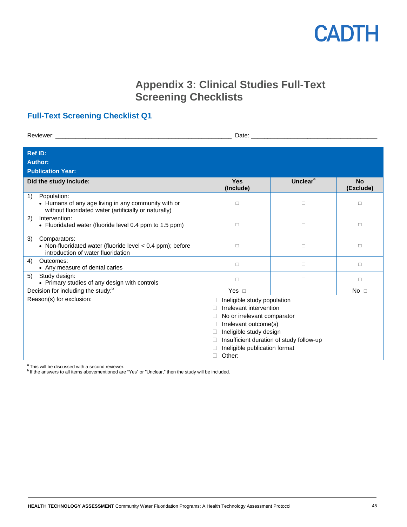

### **Appendix 3: Clinical Studies Full-Text Screening Checklists**

### <span id="page-44-0"></span>**Full-Text Screening Checklist Q1**

| Date: $\_$<br>Reviewer:                                                                                                           |                                                                                                                                                                                                                                  |                      |                        |  |  |
|-----------------------------------------------------------------------------------------------------------------------------------|----------------------------------------------------------------------------------------------------------------------------------------------------------------------------------------------------------------------------------|----------------------|------------------------|--|--|
| <b>Ref ID:</b><br><b>Author:</b><br><b>Publication Year:</b>                                                                      |                                                                                                                                                                                                                                  |                      |                        |  |  |
| Did the study include:                                                                                                            | <b>Yes</b><br>(Include)                                                                                                                                                                                                          | Unclear <sup>a</sup> | <b>No</b><br>(Exclude) |  |  |
| Population:<br>1)<br>• Humans of any age living in any community with or<br>without fluoridated water (artificially or naturally) | $\Box$                                                                                                                                                                                                                           | $\Box$               | $\Box$                 |  |  |
| Intervention:<br>2)<br>• Fluoridated water (fluoride level 0.4 ppm to 1.5 ppm)                                                    | $\Box$                                                                                                                                                                                                                           | $\Box$               | $\Box$                 |  |  |
| 3)<br>Comparators:<br>• Non-fluoridated water (fluoride level < 0.4 ppm); before<br>introduction of water fluoridation            | $\Box$                                                                                                                                                                                                                           | $\Box$               | $\Box$                 |  |  |
| Outcomes:<br>4)<br>• Any measure of dental caries                                                                                 | $\Box$                                                                                                                                                                                                                           | $\Box$               | $\Box$                 |  |  |
| 5)<br>Study design:<br>• Primary studies of any design with controls                                                              | $\Box$                                                                                                                                                                                                                           | $\Box$               | □                      |  |  |
| Decision for including the study: <sup>b</sup>                                                                                    | Yes $\square$                                                                                                                                                                                                                    |                      | No <sub>1</sub>        |  |  |
| Reason(s) for exclusion:                                                                                                          | Ineligible study population<br>Irrelevant intervention<br>No or irrelevant comparator<br>Irrelevant outcome(s)<br>Ineligible study design<br>Insufficient duration of study follow-up<br>Ineligible publication format<br>Other: |                      |                        |  |  |

<sup>a</sup> This will be discussed with a second reviewer.<br><sup>b</sup> If the answers to all items abovementioned are "Yes" or "Unclear," then the study will be included.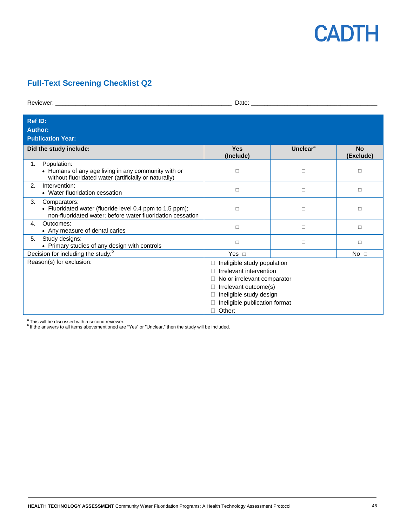

### **Full-Text Screening Checklist Q2**

| Reviewer: with a state of the contract of the contract of the contract of the contract of the contract of the contract of the contract of the contract of the contract of the contract of the contract of the contract of the |                                                                                                                                                                                           |                      |                        |  |  |
|-------------------------------------------------------------------------------------------------------------------------------------------------------------------------------------------------------------------------------|-------------------------------------------------------------------------------------------------------------------------------------------------------------------------------------------|----------------------|------------------------|--|--|
| <b>Ref ID:</b><br>Author:<br><b>Publication Year:</b>                                                                                                                                                                         |                                                                                                                                                                                           |                      |                        |  |  |
| Did the study include:                                                                                                                                                                                                        | <b>Yes</b><br>(Include)                                                                                                                                                                   | Unclear <sup>a</sup> | <b>No</b><br>(Exclude) |  |  |
| Population:<br>1.<br>• Humans of any age living in any community with or<br>without fluoridated water (artificially or naturally)                                                                                             | $\Box$                                                                                                                                                                                    | □                    | П                      |  |  |
| Intervention:<br>2.<br>• Water fluoridation cessation                                                                                                                                                                         | $\Box$                                                                                                                                                                                    | □                    | $\Box$                 |  |  |
| 3.<br>Comparators:<br>• Fluoridated water (fluoride level 0.4 ppm to 1.5 ppm);<br>non-fluoridated water; before water fluoridation cessation                                                                                  | $\Box$                                                                                                                                                                                    | □                    | $\Box$                 |  |  |
| Outcomes:<br>$\mathbf{4}$<br>• Any measure of dental caries                                                                                                                                                                   | $\Box$                                                                                                                                                                                    | $\Box$               | $\Box$                 |  |  |
| Study designs:<br>5.<br>• Primary studies of any design with controls                                                                                                                                                         | $\Box$                                                                                                                                                                                    | □                    | $\Box$                 |  |  |
| Decision for including the study: <sup>b</sup>                                                                                                                                                                                | Yes $\Box$                                                                                                                                                                                |                      | No <sub>1</sub>        |  |  |
| Reason(s) for exclusion:                                                                                                                                                                                                      | Ineligible study population<br>H<br>Irrelevant intervention<br>No or irrelevant comparator<br>Irrelevant outcome(s)<br>Ineligible study design<br>Ineligible publication format<br>Other: |                      |                        |  |  |

 $\textsuperscript{a}$  This will be discussed with a second reviewer.<br> $\textsuperscript{b}$  If the answers to all items abovementioned are "Yes" or "Unclear," then the study will be included.

**HEALTH TECHNOLOGY ASSESSMENT** Community Water Fluoridation Programs: A Health Technology Assessment Protocol 46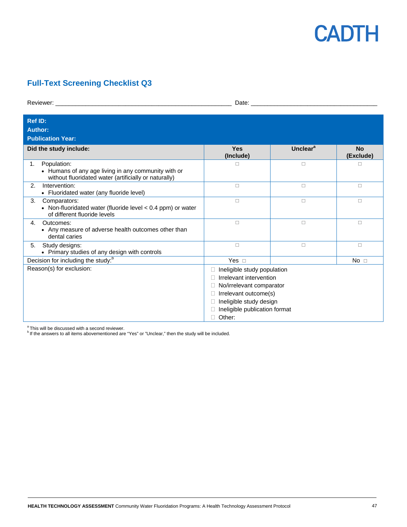

### **Full-Text Screening Checklist Q3**

| <b>Ref ID:</b><br><b>Author:</b><br><b>Publication Year:</b>                                                                      |                                                                                                                                                                                   |                      |                        |
|-----------------------------------------------------------------------------------------------------------------------------------|-----------------------------------------------------------------------------------------------------------------------------------------------------------------------------------|----------------------|------------------------|
| Did the study include:                                                                                                            | <b>Yes</b><br>(Include)                                                                                                                                                           | Unclear <sup>a</sup> | <b>No</b><br>(Exclude) |
| Population:<br>1.<br>• Humans of any age living in any community with or<br>without fluoridated water (artificially or naturally) | $\Box$                                                                                                                                                                            | $\Box$               | $\Box$                 |
| Intervention:<br>2.<br>• Fluoridated water (any fluoride level)                                                                   | $\Box$                                                                                                                                                                            | $\Box$               | $\Box$                 |
| 3.<br>Comparators:<br>• Non-fluoridated water (fluoride level < 0.4 ppm) or water<br>of different fluoride levels                 | $\Box$                                                                                                                                                                            | $\Box$               | $\Box$                 |
| Outcomes:<br>4.<br>• Any measure of adverse health outcomes other than<br>dental caries                                           | □                                                                                                                                                                                 | $\Box$               | $\Box$                 |
| Study designs:<br>5.<br>• Primary studies of any design with controls                                                             | $\Box$                                                                                                                                                                            | □                    | $\Box$                 |
| Decision for including the study: <sup>b</sup>                                                                                    | Yes $\Box$                                                                                                                                                                        |                      | No <sub>1</sub>        |
| Reason(s) for exclusion:                                                                                                          | Ineligible study population<br>Irrelevant intervention<br>No/irrelevant comparator<br>Irrelevant outcome(s)<br>Ineligible study design<br>Ineligible publication format<br>Other: |                      |                        |

 $\frac{a}{b}$  This will be discussed with a second reviewer.

<sup>b</sup> If the answers to all items abovementioned are "Yes" or "Unclear," then the study will be included.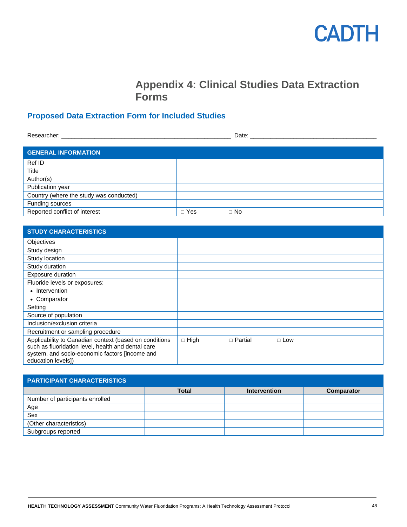### **Appendix 4: Clinical Studies Data Extraction Forms**

### <span id="page-47-0"></span>**Proposed Data Extraction Form for Included Studies**

| Researcher: with the contract of the contract of the contract of the contract of the contract of the contract of the contract of the contract of the contract of the contract of the contract of the contract of the contract |            |           |
|-------------------------------------------------------------------------------------------------------------------------------------------------------------------------------------------------------------------------------|------------|-----------|
| <b>GENERAL INFORMATION</b>                                                                                                                                                                                                    |            |           |
| Ref ID                                                                                                                                                                                                                        |            |           |
| Title                                                                                                                                                                                                                         |            |           |
| Author(s)                                                                                                                                                                                                                     |            |           |
| Publication year                                                                                                                                                                                                              |            |           |
| Country (where the study was conducted)                                                                                                                                                                                       |            |           |
| Funding sources                                                                                                                                                                                                               |            |           |
| Reported conflict of interest                                                                                                                                                                                                 | $\Box$ Yes | $\Box$ No |

| <b>STUDY CHARACTERISTICS</b>                                                                                                                                                         |             |                |            |
|--------------------------------------------------------------------------------------------------------------------------------------------------------------------------------------|-------------|----------------|------------|
| <b>Objectives</b>                                                                                                                                                                    |             |                |            |
| Study design                                                                                                                                                                         |             |                |            |
| Study location                                                                                                                                                                       |             |                |            |
| Study duration                                                                                                                                                                       |             |                |            |
| Exposure duration                                                                                                                                                                    |             |                |            |
| Fluoride levels or exposures:                                                                                                                                                        |             |                |            |
| • Intervention                                                                                                                                                                       |             |                |            |
| • Comparator                                                                                                                                                                         |             |                |            |
| Setting                                                                                                                                                                              |             |                |            |
| Source of population                                                                                                                                                                 |             |                |            |
| Inclusion/exclusion criteria                                                                                                                                                         |             |                |            |
| Recruitment or sampling procedure                                                                                                                                                    |             |                |            |
| Applicability to Canadian context (based on conditions<br>such as fluoridation level, health and dental care<br>system, and socio-economic factors [income and<br>education levels]) | $\Box$ High | $\Box$ Partial | $\Box$ Low |

| <b>PARTICIPANT CHARACTERISTICS</b> |              |                     |            |  |  |  |
|------------------------------------|--------------|---------------------|------------|--|--|--|
|                                    | <b>Total</b> | <b>Intervention</b> | Comparator |  |  |  |
| Number of participants enrolled    |              |                     |            |  |  |  |
| Age                                |              |                     |            |  |  |  |
| Sex                                |              |                     |            |  |  |  |
| (Other characteristics)            |              |                     |            |  |  |  |
| Subgroups reported                 |              |                     |            |  |  |  |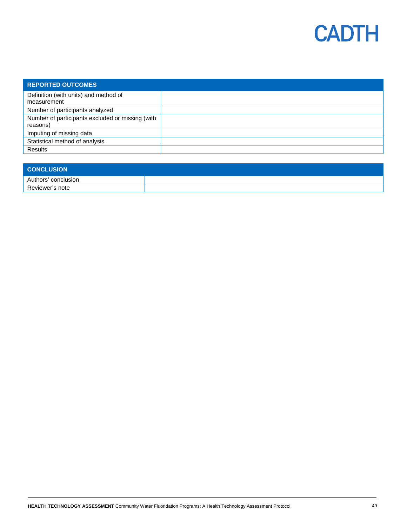

| <b>REPORTED OUTCOMES</b>                             |  |
|------------------------------------------------------|--|
| Definition (with units) and method of<br>measurement |  |
|                                                      |  |
| Number of participants analyzed                      |  |
| Number of participants excluded or missing (with     |  |
| reasons)                                             |  |
| Imputing of missing data                             |  |
| Statistical method of analysis                       |  |
| <b>Results</b>                                       |  |

| <b>CONCLUSION</b>   |  |
|---------------------|--|
| Authors' conclusion |  |
| Reviewer's note     |  |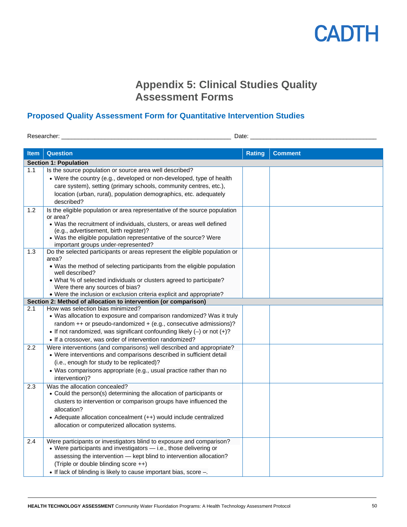### **Appendix 5: Clinical Studies Quality Assessment Forms**

### <span id="page-49-0"></span>**Proposed Quality Assessment Form for Quantitative Intervention Studies**

Researcher: \_\_\_\_\_\_\_\_\_\_\_\_\_\_\_\_\_\_\_\_\_\_\_\_\_\_\_\_\_\_\_\_\_\_\_\_\_\_\_\_\_\_\_\_\_\_\_\_\_\_\_ Date: \_\_\_\_\_\_\_\_\_\_\_\_\_\_\_\_\_\_\_\_\_\_\_\_\_\_\_\_\_\_\_\_\_\_\_\_\_\_

| <b>Item</b> | <b>Question</b>                                                                                                                             | <b>Rating</b> | <b>Comment</b> |  |  |
|-------------|---------------------------------------------------------------------------------------------------------------------------------------------|---------------|----------------|--|--|
|             | <b>Section 1: Population</b>                                                                                                                |               |                |  |  |
| 1.1         | Is the source population or source area well described?                                                                                     |               |                |  |  |
|             | • Were the country (e.g., developed or non-developed, type of health                                                                        |               |                |  |  |
|             | care system), setting (primary schools, community centres, etc.),                                                                           |               |                |  |  |
|             | location (urban, rural), population demographics, etc. adequately                                                                           |               |                |  |  |
|             | described?                                                                                                                                  |               |                |  |  |
| 1.2         | Is the eligible population or area representative of the source population                                                                  |               |                |  |  |
|             | or area?                                                                                                                                    |               |                |  |  |
|             | • Was the recruitment of individuals, clusters, or areas well defined<br>(e.g., advertisement, birth register)?                             |               |                |  |  |
|             | • Was the eligible population representative of the source? Were                                                                            |               |                |  |  |
|             | important groups under-represented?                                                                                                         |               |                |  |  |
| 1.3         | Do the selected participants or areas represent the eligible population or                                                                  |               |                |  |  |
|             | area?                                                                                                                                       |               |                |  |  |
|             | • Was the method of selecting participants from the eligible population                                                                     |               |                |  |  |
|             | well described?<br>• What % of selected individuals or clusters agreed to participate?                                                      |               |                |  |  |
|             | Were there any sources of bias?                                                                                                             |               |                |  |  |
|             | • Were the inclusion or exclusion criteria explicit and appropriate?                                                                        |               |                |  |  |
|             | Section 2: Method of allocation to intervention (or comparison)                                                                             |               |                |  |  |
| 2.1         | How was selection bias minimized?                                                                                                           |               |                |  |  |
|             | • Was allocation to exposure and comparison randomized? Was it truly                                                                        |               |                |  |  |
|             | random ++ or pseudo-randomized + (e.g., consecutive admissions)?                                                                            |               |                |  |  |
|             | • If not randomized, was significant confounding likely $(-)$ or not $(+)$ ?                                                                |               |                |  |  |
|             | • If a crossover, was order of intervention randomized?                                                                                     |               |                |  |  |
| 2.2         | Were interventions (and comparisons) well described and appropriate?<br>• Were interventions and comparisons described in sufficient detail |               |                |  |  |
|             | (i.e., enough for study to be replicated)?                                                                                                  |               |                |  |  |
|             | • Was comparisons appropriate (e.g., usual practice rather than no                                                                          |               |                |  |  |
|             | intervention)?                                                                                                                              |               |                |  |  |
| 2.3         | Was the allocation concealed?                                                                                                               |               |                |  |  |
|             | • Could the person(s) determining the allocation of participants or                                                                         |               |                |  |  |
|             | clusters to intervention or comparison groups have influenced the                                                                           |               |                |  |  |
|             | allocation?                                                                                                                                 |               |                |  |  |
|             | • Adequate allocation concealment (++) would include centralized                                                                            |               |                |  |  |
|             | allocation or computerized allocation systems.                                                                                              |               |                |  |  |
|             |                                                                                                                                             |               |                |  |  |
| 2.4         | Were participants or investigators blind to exposure and comparison?                                                                        |               |                |  |  |
|             | • Were participants and investigators - i.e., those delivering or                                                                           |               |                |  |  |
|             | assessing the intervention - kept blind to intervention allocation?                                                                         |               |                |  |  |
|             | (Triple or double blinding score ++)                                                                                                        |               |                |  |  |
|             | • If lack of blinding is likely to cause important bias, score -.                                                                           |               |                |  |  |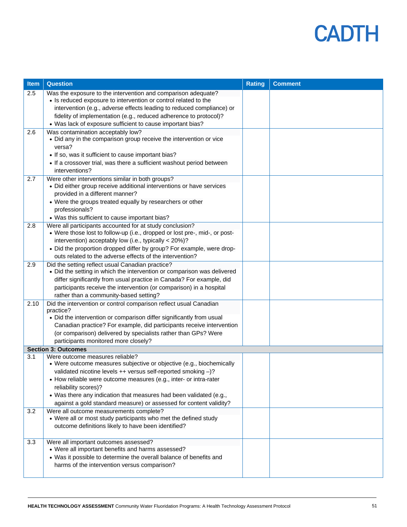| Item | <b>Question</b>                                                                                                              | <b>Rating</b> | <b>Comment</b> |
|------|------------------------------------------------------------------------------------------------------------------------------|---------------|----------------|
| 2.5  | Was the exposure to the intervention and comparison adequate?                                                                |               |                |
|      | • Is reduced exposure to intervention or control related to the                                                              |               |                |
|      | intervention (e.g., adverse effects leading to reduced compliance) or                                                        |               |                |
|      | fidelity of implementation (e.g., reduced adherence to protocol)?                                                            |               |                |
|      | • Was lack of exposure sufficient to cause important bias?                                                                   |               |                |
| 2.6  | Was contamination acceptably low?                                                                                            |               |                |
|      | • Did any in the comparison group receive the intervention or vice                                                           |               |                |
|      | versa?                                                                                                                       |               |                |
|      | • If so, was it sufficient to cause important bias?<br>• If a crossover trial, was there a sufficient washout period between |               |                |
|      | interventions?                                                                                                               |               |                |
| 2.7  | Were other interventions similar in both groups?                                                                             |               |                |
|      | • Did either group receive additional interventions or have services                                                         |               |                |
|      | provided in a different manner?                                                                                              |               |                |
|      | • Were the groups treated equally by researchers or other                                                                    |               |                |
|      | professionals?                                                                                                               |               |                |
|      | • Was this sufficient to cause important bias?                                                                               |               |                |
| 2.8  | Were all participants accounted for at study conclusion?                                                                     |               |                |
|      | • Were those lost to follow-up (i.e., dropped or lost pre-, mid-, or post-                                                   |               |                |
|      | intervention) acceptably low (i.e., typically < 20%)?                                                                        |               |                |
|      | • Did the proportion dropped differ by group? For example, were drop-                                                        |               |                |
|      | outs related to the adverse effects of the intervention?                                                                     |               |                |
| 2.9  | Did the setting reflect usual Canadian practice?<br>• Did the setting in which the intervention or comparison was delivered  |               |                |
|      | differ significantly from usual practice in Canada? For example, did                                                         |               |                |
|      | participants receive the intervention (or comparison) in a hospital                                                          |               |                |
|      | rather than a community-based setting?                                                                                       |               |                |
| 2.10 | Did the intervention or control comparison reflect usual Canadian                                                            |               |                |
|      | practice?                                                                                                                    |               |                |
|      | • Did the intervention or comparison differ significantly from usual                                                         |               |                |
|      | Canadian practice? For example, did participants receive intervention                                                        |               |                |
|      | (or comparison) delivered by specialists rather than GPs? Were                                                               |               |                |
|      | participants monitored more closely?                                                                                         |               |                |
| 3.1  | <b>Section 3: Outcomes</b><br>Were outcome measures reliable?                                                                |               |                |
|      | • Were outcome measures subjective or objective (e.g., biochemically                                                         |               |                |
|      | validated nicotine levels ++ versus self-reported smoking -)?                                                                |               |                |
|      | • How reliable were outcome measures (e.g., inter- or intra-rater                                                            |               |                |
|      | reliability scores)?                                                                                                         |               |                |
|      | • Was there any indication that measures had been validated (e.g.,                                                           |               |                |
|      | against a gold standard measure) or assessed for content validity?                                                           |               |                |
| 3.2  | Were all outcome measurements complete?                                                                                      |               |                |
|      | • Were all or most study participants who met the defined study                                                              |               |                |
|      | outcome definitions likely to have been identified?                                                                          |               |                |
| 3.3  | Were all important outcomes assessed?                                                                                        |               |                |
|      | • Were all important benefits and harms assessed?                                                                            |               |                |
|      | • Was it possible to determine the overall balance of benefits and                                                           |               |                |
|      | harms of the intervention versus comparison?                                                                                 |               |                |
|      |                                                                                                                              |               |                |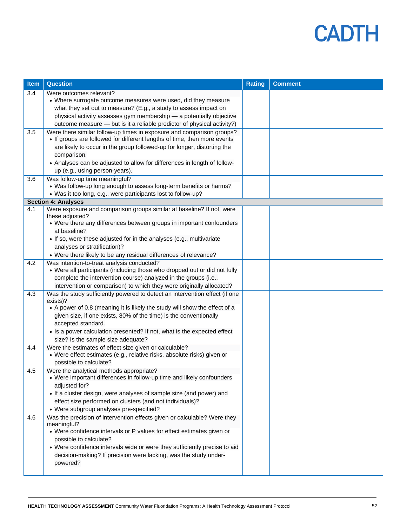| Item | <b>Question</b>                                                                                                                         | <b>Rating</b> | <b>Comment</b> |
|------|-----------------------------------------------------------------------------------------------------------------------------------------|---------------|----------------|
| 3.4  | Were outcomes relevant?                                                                                                                 |               |                |
|      | • Where surrogate outcome measures were used, did they measure                                                                          |               |                |
|      | what they set out to measure? (E.g., a study to assess impact on                                                                        |               |                |
|      | physical activity assesses gym membership - a potentially objective                                                                     |               |                |
|      | outcome measure - but is it a reliable predictor of physical activity?)                                                                 |               |                |
| 3.5  | Were there similar follow-up times in exposure and comparison groups?                                                                   |               |                |
|      | • If groups are followed for different lengths of time, then more events                                                                |               |                |
|      | are likely to occur in the group followed-up for longer, distorting the                                                                 |               |                |
|      | comparison.<br>• Analyses can be adjusted to allow for differences in length of follow-                                                 |               |                |
|      | up (e.g., using person-years).                                                                                                          |               |                |
| 3.6  | Was follow-up time meaningful?                                                                                                          |               |                |
|      | • Was follow-up long enough to assess long-term benefits or harms?                                                                      |               |                |
|      | • Was it too long, e.g., were participants lost to follow-up?                                                                           |               |                |
|      | <b>Section 4: Analyses</b>                                                                                                              |               |                |
| 4.1  | Were exposure and comparison groups similar at baseline? If not, were                                                                   |               |                |
|      | these adjusted?                                                                                                                         |               |                |
|      | • Were there any differences between groups in important confounders                                                                    |               |                |
|      | at baseline?                                                                                                                            |               |                |
|      | • If so, were these adjusted for in the analyses (e.g., multivariate                                                                    |               |                |
|      | analyses or stratification)?                                                                                                            |               |                |
|      | • Were there likely to be any residual differences of relevance?                                                                        |               |                |
| 4.2  | Was intention-to-treat analysis conducted?                                                                                              |               |                |
|      | • Were all participants (including those who dropped out or did not fully                                                               |               |                |
|      | complete the intervention course) analyzed in the groups (i.e.,<br>intervention or comparison) to which they were originally allocated? |               |                |
| 4.3  | Was the study sufficiently powered to detect an intervention effect (if one                                                             |               |                |
|      | exists)?                                                                                                                                |               |                |
|      | • A power of 0.8 (meaning it is likely the study will show the effect of a                                                              |               |                |
|      | given size, if one exists, 80% of the time) is the conventionally                                                                       |               |                |
|      | accepted standard.                                                                                                                      |               |                |
|      | • Is a power calculation presented? If not, what is the expected effect                                                                 |               |                |
|      | size? Is the sample size adequate?                                                                                                      |               |                |
| 4.4  | Were the estimates of effect size given or calculable?                                                                                  |               |                |
|      | • Were effect estimates (e.g., relative risks, absolute risks) given or                                                                 |               |                |
|      | possible to calculate?                                                                                                                  |               |                |
| 4.5  | Were the analytical methods appropriate?                                                                                                |               |                |
|      | • Were important differences in follow-up time and likely confounders<br>adjusted for?                                                  |               |                |
|      | • If a cluster design, were analyses of sample size (and power) and                                                                     |               |                |
|      | effect size performed on clusters (and not individuals)?                                                                                |               |                |
|      | • Were subgroup analyses pre-specified?                                                                                                 |               |                |
| 4.6  | Was the precision of intervention effects given or calculable? Were they                                                                |               |                |
|      | meaningful?                                                                                                                             |               |                |
|      | • Were confidence intervals or P values for effect estimates given or                                                                   |               |                |
|      | possible to calculate?                                                                                                                  |               |                |
|      | • Were confidence intervals wide or were they sufficiently precise to aid                                                               |               |                |
|      | decision-making? If precision were lacking, was the study under-                                                                        |               |                |
|      | powered?                                                                                                                                |               |                |
|      |                                                                                                                                         |               |                |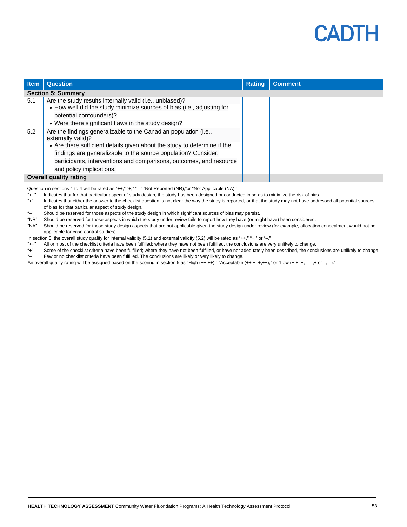

| <b>Item</b> | <b>Question</b>                                                                                                                                                                                                                                                                                                                         | <b>Rating</b> | <b>Comment</b> |
|-------------|-----------------------------------------------------------------------------------------------------------------------------------------------------------------------------------------------------------------------------------------------------------------------------------------------------------------------------------------|---------------|----------------|
|             | <b>Section 5: Summary</b>                                                                                                                                                                                                                                                                                                               |               |                |
| 5.1         | Are the study results internally valid (i.e., unbiased)?<br>• How well did the study minimize sources of bias (i.e., adjusting for<br>potential confounders)?                                                                                                                                                                           |               |                |
|             | • Were there significant flaws in the study design?                                                                                                                                                                                                                                                                                     |               |                |
| 5.2         | Are the findings generalizable to the Canadian population (i.e.,<br>externally valid)?<br>• Are there sufficient details given about the study to determine if the<br>findings are generalizable to the source population? Consider:<br>participants, interventions and comparisons, outcomes, and resource<br>and policy implications. |               |                |
|             | <b>Overall quality rating</b>                                                                                                                                                                                                                                                                                                           |               |                |

Question in sections 1 to 4 will be rated as "++," "+," "-," "Not Reported (NR),"or "Not Applicable (NA)."

- "++" Indicates that for that particular aspect of study design, the study has been designed or conducted in so as to minimize the risk of bias.
- Indicates that either the answer to the checklist question is not clear the way the study is reported, or that the study may not have addressed all potential sources of bias for that particular aspect of study design.
- "-" Should be reserved for those aspects of the study design in which significant sources of bias may persist.<br>"NR" Should be reserved for those aspects in which the study under review fails to report how they have (or mi
- Should be reserved for those aspects in which the study under review fails to report how they have (or might have) been considered.
- "NA" Should be reserved for those study design aspects that are not applicable given the study design under review (for example, allocation concealment would not be applicable for case-control studies).
- In section 5, the overall study quality for internal validity (5.1) and external validity (5.2) will be rated as "++," "+," or "-."
- "++" All or most of the checklist criteria have been fulfilled; where they have not been fulfilled, the conclusions are very unlikely to change.
- "+" Some of the checklist criteria have been fulfilled; where they have not been fulfilled, or have not adequately been described, the conclusions are unlikely to change.<br>""Fow or no chocklist criteria have been fulfilled. Few or no checklist criteria have been fulfilled. The conclusions are likely or very likely to change.
- An overall quality rating will be assigned based on the scoring in section 5 as "High (++,++)," "Acceptable (++,+; +,++)," or "Low (+,+; +,-; -,+ or -, -)."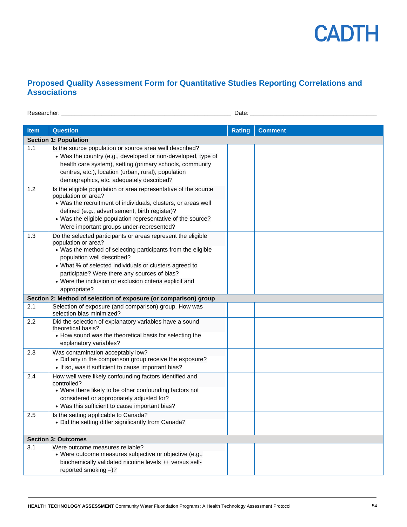

### **Proposed Quality Assessment Form for Quantitative Studies Reporting Correlations and Associations**

Researcher: \_\_\_\_\_\_\_\_\_\_\_\_\_\_\_\_\_\_\_\_\_\_\_\_\_\_\_\_\_\_\_\_\_\_\_\_\_\_\_\_\_\_\_\_\_\_\_\_\_\_\_ Date: \_\_\_\_\_\_\_\_\_\_\_\_\_\_\_\_\_\_\_\_\_\_\_\_\_\_\_\_\_\_\_\_\_\_\_\_\_\_

| <b>Item</b> | <b>Question</b>                                                                                                                                                                                                                                                                                                                                                        | <b>Rating</b> | <b>Comment</b> |
|-------------|------------------------------------------------------------------------------------------------------------------------------------------------------------------------------------------------------------------------------------------------------------------------------------------------------------------------------------------------------------------------|---------------|----------------|
|             | <b>Section 1: Population</b>                                                                                                                                                                                                                                                                                                                                           |               |                |
| 1.1         | Is the source population or source area well described?<br>• Was the country (e.g., developed or non-developed, type of<br>health care system), setting (primary schools, community<br>centres, etc.), location (urban, rural), population<br>demographics, etc. adequately described?                                                                                 |               |                |
| 1.2         | Is the eligible population or area representative of the source<br>population or area?<br>. Was the recruitment of individuals, clusters, or areas well<br>defined (e.g., advertisement, birth register)?<br>• Was the eligible population representative of the source?<br>Were important groups under-represented?                                                   |               |                |
| 1.3         | Do the selected participants or areas represent the eligible<br>population or area?<br>• Was the method of selecting participants from the eligible<br>population well described?<br>• What % of selected individuals or clusters agreed to<br>participate? Were there any sources of bias?<br>• Were the inclusion or exclusion criteria explicit and<br>appropriate? |               |                |
|             | Section 2: Method of selection of exposure (or comparison) group                                                                                                                                                                                                                                                                                                       |               |                |
| 2.1         | Selection of exposure (and comparison) group. How was<br>selection bias minimized?                                                                                                                                                                                                                                                                                     |               |                |
| 2.2         | Did the selection of explanatory variables have a sound<br>theoretical basis?<br>• How sound was the theoretical basis for selecting the<br>explanatory variables?                                                                                                                                                                                                     |               |                |
| 2.3         | Was contamination acceptably low?<br>• Did any in the comparison group receive the exposure?<br>• If so, was it sufficient to cause important bias?                                                                                                                                                                                                                    |               |                |
| 2.4         | How well were likely confounding factors identified and<br>controlled?<br>• Were there likely to be other confounding factors not<br>considered or appropriately adjusted for?<br>• Was this sufficient to cause important bias?                                                                                                                                       |               |                |
| 2.5         | Is the setting applicable to Canada?<br>• Did the setting differ significantly from Canada?                                                                                                                                                                                                                                                                            |               |                |
|             | <b>Section 3: Outcomes</b>                                                                                                                                                                                                                                                                                                                                             |               |                |
| 3.1         | Were outcome measures reliable?<br>• Were outcome measures subjective or objective (e.g.,<br>biochemically validated nicotine levels ++ versus self-<br>reported smoking $-$ )?                                                                                                                                                                                        |               |                |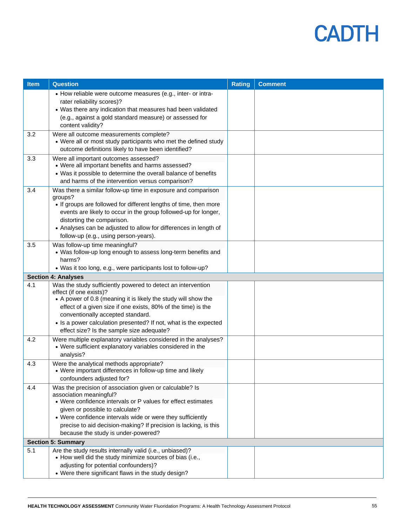| <b>Item</b> | <b>Question</b>                                                                                                                                                                                                                                                                                                                                                                  | <b>Rating</b> | <b>Comment</b> |
|-------------|----------------------------------------------------------------------------------------------------------------------------------------------------------------------------------------------------------------------------------------------------------------------------------------------------------------------------------------------------------------------------------|---------------|----------------|
|             | • How reliable were outcome measures (e.g., inter- or intra-<br>rater reliability scores)?<br>• Was there any indication that measures had been validated<br>(e.g., against a gold standard measure) or assessed for<br>content validity?                                                                                                                                        |               |                |
| 3.2         | Were all outcome measurements complete?<br>• Were all or most study participants who met the defined study<br>outcome definitions likely to have been identified?                                                                                                                                                                                                                |               |                |
| 3.3         | Were all important outcomes assessed?<br>• Were all important benefits and harms assessed?<br>• Was it possible to determine the overall balance of benefits<br>and harms of the intervention versus comparison?                                                                                                                                                                 |               |                |
| 3.4         | Was there a similar follow-up time in exposure and comparison<br>groups?<br>• If groups are followed for different lengths of time, then more<br>events are likely to occur in the group followed-up for longer,<br>distorting the comparison.<br>• Analyses can be adjusted to allow for differences in length of<br>follow-up (e.g., using person-years).                      |               |                |
| 3.5         | Was follow-up time meaningful?<br>• Was follow-up long enough to assess long-term benefits and<br>harms?<br>• Was it too long, e.g., were participants lost to follow-up?                                                                                                                                                                                                        |               |                |
|             | <b>Section 4: Analyses</b>                                                                                                                                                                                                                                                                                                                                                       |               |                |
| 4.1         | Was the study sufficiently powered to detect an intervention<br>effect (if one exists)?<br>• A power of 0.8 (meaning it is likely the study will show the<br>effect of a given size if one exists, 80% of the time) is the<br>conventionally accepted standard.<br>• Is a power calculation presented? If not, what is the expected<br>effect size? Is the sample size adequate? |               |                |
| 4.2         | Were multiple explanatory variables considered in the analyses?<br>• Were sufficient explanatory variables considered in the<br>analysis?                                                                                                                                                                                                                                        |               |                |
| 4.3         | Were the analytical methods appropriate?<br>• Were important differences in follow-up time and likely<br>confounders adjusted for?                                                                                                                                                                                                                                               |               |                |
| 4.4         | Was the precision of association given or calculable? Is<br>association meaningful?<br>• Were confidence intervals or P values for effect estimates<br>given or possible to calculate?<br>• Were confidence intervals wide or were they sufficiently<br>precise to aid decision-making? If precision is lacking, is this<br>because the study is under-powered?                  |               |                |
|             | <b>Section 5: Summary</b>                                                                                                                                                                                                                                                                                                                                                        |               |                |
| 5.1         | Are the study results internally valid (i.e., unbiased)?<br>• How well did the study minimize sources of bias (i.e.,<br>adjusting for potential confounders)?<br>• Were there significant flaws in the study design?                                                                                                                                                             |               |                |